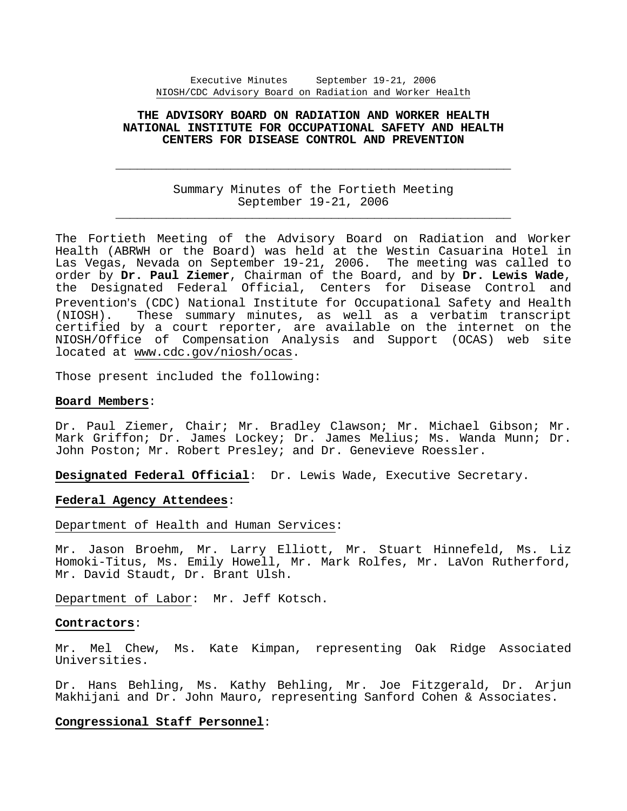# **THE ADVISORY BOARD ON RADIATION AND WORKER HEALTH NATIONAL INSTITUTE FOR OCCUPATIONAL SAFETY AND HEALTH CENTERS FOR DISEASE CONTROL AND PREVENTION**

Summary Minutes of the Fortieth Meeting September 19-21, 2006 \_\_\_\_\_\_\_\_\_\_\_\_\_\_\_\_\_\_\_\_\_\_\_\_\_\_\_\_\_\_\_\_\_\_\_\_\_\_\_\_\_\_\_\_\_\_\_\_\_\_\_\_\_\_\_

 $\overline{\phantom{a}}$  ,  $\overline{\phantom{a}}$  ,  $\overline{\phantom{a}}$  ,  $\overline{\phantom{a}}$  ,  $\overline{\phantom{a}}$  ,  $\overline{\phantom{a}}$  ,  $\overline{\phantom{a}}$  ,  $\overline{\phantom{a}}$  ,  $\overline{\phantom{a}}$  ,  $\overline{\phantom{a}}$  ,  $\overline{\phantom{a}}$  ,  $\overline{\phantom{a}}$  ,  $\overline{\phantom{a}}$  ,  $\overline{\phantom{a}}$  ,  $\overline{\phantom{a}}$  ,  $\overline{\phantom{a}}$ 

The Fortieth Meeting of the Advisory Board on Radiation and Worker Health (ABRWH or the Board) was held at the Westin Casuarina Hotel in Las Vegas, Nevada on September 19-21, 2006. The meeting was called to order by **Dr. Paul Ziemer**, Chairman of the Board, and by **Dr. Lewis Wade**, the Designated Federal Official, Centers for Disease Control and Prevention's (CDC) National Institute for Occupational Safety and Health (NIOSH). These summary minutes, as well as a verbatim transcript certified by a court reporter, are available on the internet on the NIOSH/Office of Compensation Analysis and Support (OCAS) web site located at www.cdc.gov/niosh/ocas.

Those present included the following:

# **Board Members**:

Dr. Paul Ziemer, Chair; Mr. Bradley Clawson; Mr. Michael Gibson; Mr. Mark Griffon; Dr. James Lockey; Dr. James Melius; Ms. Wanda Munn; Dr. John Poston; Mr. Robert Presley; and Dr. Genevieve Roessler.

**Designated Federal Official**: Dr. Lewis Wade, Executive Secretary.

# **Federal Agency Attendees**:

### Department of Health and Human Services:

Mr. Jason Broehm, Mr. Larry Elliott, Mr. Stuart Hinnefeld, Ms. Liz Homoki-Titus, Ms. Emily Howell, Mr. Mark Rolfes, Mr. LaVon Rutherford, Mr. David Staudt, Dr. Brant Ulsh.

Department of Labor: Mr. Jeff Kotsch.

### **Contractors**:

Mr. Mel Chew, Ms. Kate Kimpan, representing Oak Ridge Associated Universities.

Dr. Hans Behling, Ms. Kathy Behling, Mr. Joe Fitzgerald, Dr. Arjun Makhijani and Dr. John Mauro, representing Sanford Cohen & Associates.

# **Congressional Staff Personnel**: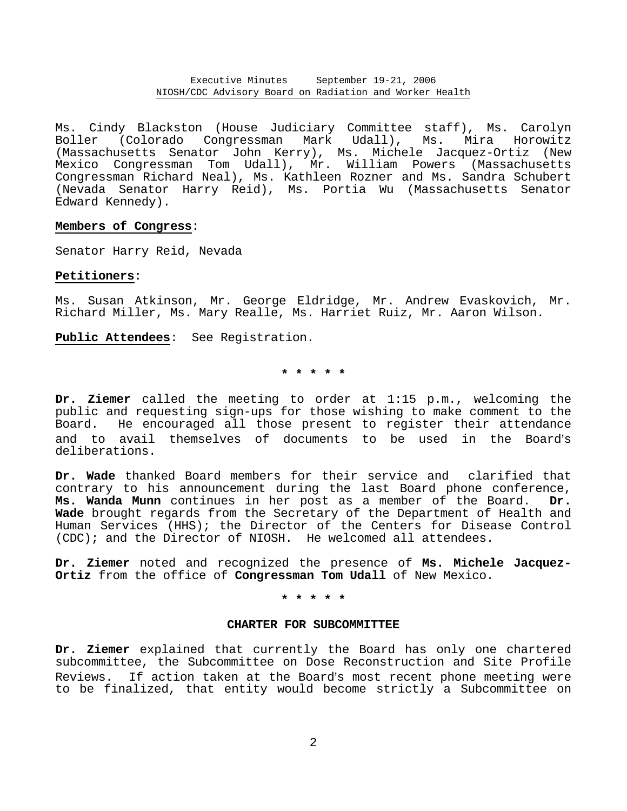Ms. Cindy Blackston (House Judiciary Committee staff), Ms. Carolyn Boller (Colorado Congressman Mark Udall), Ms. Mira Horowitz (Massachusetts Senator John Kerry), Ms. Michele Jacquez-Ortiz (New Mexico Congressman Tom Udall), Mr. William Powers (Massachusetts Congressman Richard Neal), Ms. Kathleen Rozner and Ms. Sandra Schubert (Nevada Senator Harry Reid), Ms. Portia Wu (Massachusetts Senator Edward Kennedy).

# **Members of Congress**:

Senator Harry Reid, Nevada

# **Petitioners**:

Ms. Susan Atkinson, Mr. George Eldridge, Mr. Andrew Evaskovich, Mr. Richard Miller, Ms. Mary Realle, Ms. Harriet Ruiz, Mr. Aaron Wilson.

**Public Attendees**: See Registration.

**\* \* \* \* \*** 

**Dr. Ziemer** called the meeting to order at 1:15 p.m., welcoming the public and requesting sign-ups for those wishing to make comment to the Board. He encouraged all those present to register their attendance and to avail themselves of documents to be used in the Board's deliberations.

**Dr. Wade** thanked Board members for their service and clarified that contrary to his announcement during the last Board phone conference, **Ms. Wanda Munn** continues in her post as a member of the Board. **Dr. Wade** brought regards from the Secretary of the Department of Health and Human Services (HHS); the Director of the Centers for Disease Control (CDC); and the Director of NIOSH. He welcomed all attendees.

**Dr. Ziemer** noted and recognized the presence of **Ms. Michele Jacquez- Ortiz** from the office of **Congressman Tom Udall** of New Mexico.

**\* \* \* \* \*** 

### **CHARTER FOR SUBCOMMITTEE**

**Dr. Ziemer** explained that currently the Board has only one chartered subcommittee, the Subcommittee on Dose Reconstruction and Site Profile Reviews. If action taken at the Board's most recent phone meeting were to be finalized, that entity would become strictly a Subcommittee on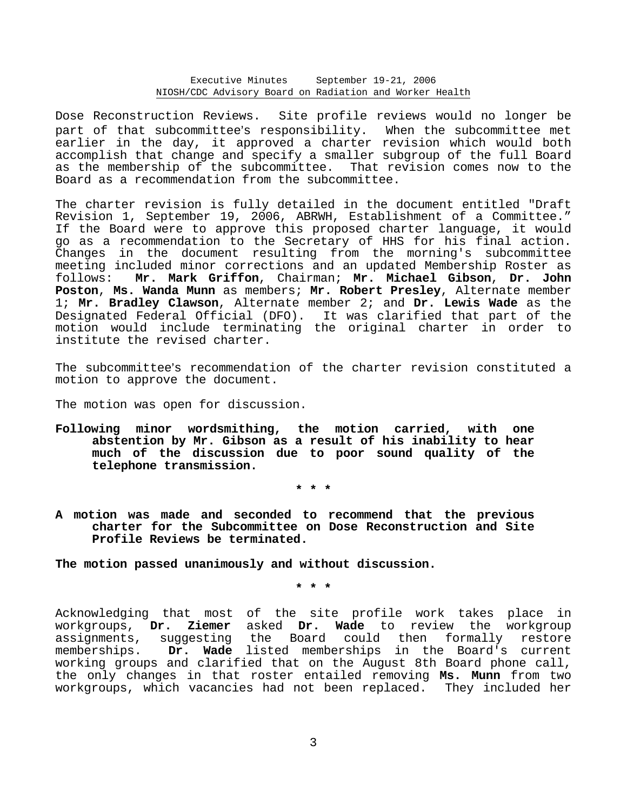Dose Reconstruction Reviews. Site profile reviews would no longer be part of that subcommittee's responsibility. When the subcommittee met earlier in the day, it approved a charter revision which would both accomplish that change and specify a smaller subgroup of the full Board as the membership of the subcommittee. That revision comes now to the Board as a recommendation from the subcommittee.

The charter revision is fully detailed in the document entitled "Draft Revision 1, September 19, 2006, ABRWH, Establishment of a Committee." If the Board were to approve this proposed charter language, it would go as a recommendation to the Secretary of HHS for his final action. Changes in the document resulting from the morning's subcommittee meeting included minor corrections and an updated Membership Roster as follows: **Mr. Mark Griffon**, Chairman; **Mr. Michael Gibson**, **Dr. John Poston**, **Ms. Wanda Munn** as members; **Mr. Robert Presley**, Alternate member 1; **Mr. Bradley Clawson**, Alternate member 2; and **Dr. Lewis Wade** as the Designated Federal Official (DFO). It was clarified that part of the motion would include terminating the original charter in order to institute the revised charter.

The subcommittee's recommendation of the charter revision constituted a motion to approve the document.

The motion was open for discussion.

**Following minor wordsmithing, the motion carried, with one abstention by Mr. Gibson as a result of his inability to hear much of the discussion due to poor sound quality of the telephone transmission.** 

**\* \* \*** 

**A motion was made and seconded to recommend that the previous charter for the Subcommittee on Dose Reconstruction and Site Profile Reviews be terminated.** 

**The motion passed unanimously and without discussion.** 

**\* \* \*** 

Acknowledging that most of the site profile work takes place in workgroups, **Dr. Ziemer** asked **Dr. Wade** to review the workgroup assignments, suggesting the Board could then formally restore memberships. **Dr. Wade** listed memberships in the Board's current working groups and clarified that on the August 8th Board phone call, the only changes in that roster entailed removing **Ms. Munn** from two workgroups, which vacancies had not been replaced. They included her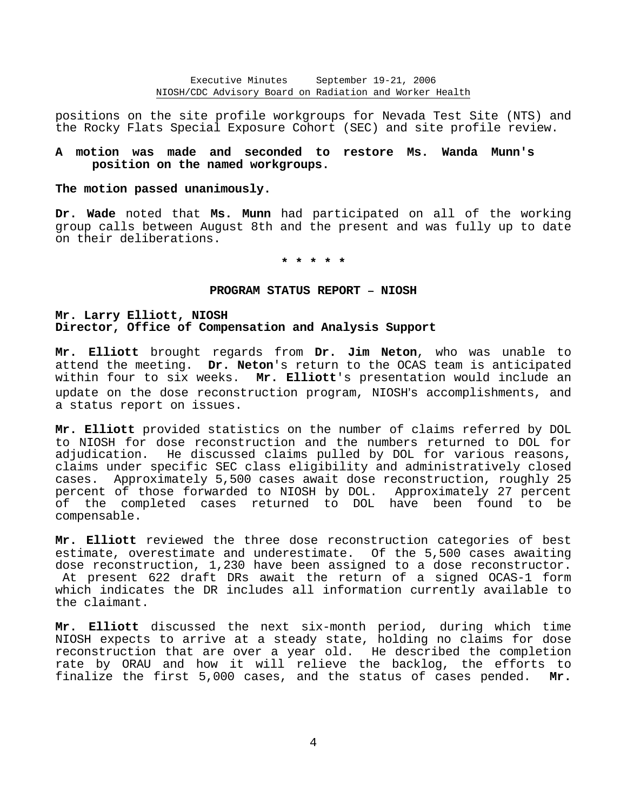positions on the site profile workgroups for Nevada Test Site (NTS) and the Rocky Flats Special Exposure Cohort (SEC) and site profile review.

# **A motion was made and seconded to restore Ms. Wanda Munn's position on the named workgroups.**

#### **The motion passed unanimously.**

**Dr. Wade** noted that **Ms. Munn** had participated on all of the working group calls between August 8th and the present and was fully up to date on their deliberations.

**\* \* \* \* \*** 

#### **PROGRAM STATUS REPORT - NIOSH**

# **Mr. Larry Elliott, NIOSH Director, Office of Compensation and Analysis Support**

**Mr. Elliott** brought regards from **Dr. Jim Neton**, who was unable to attend the meeting. **Dr. Neton**'s return to the OCAS team is anticipated within four to six weeks. **Mr. Elliott**'s presentation would include an update on the dose reconstruction program, NIOSH's accomplishments, and a status report on issues.

**Mr. Elliott** provided statistics on the number of claims referred by DOL to NIOSH for dose reconstruction and the numbers returned to DOL for adjudication. He discussed claims pulled by DOL for various reasons, claims under specific SEC class eligibility and administratively closed cases. Approximately 5,500 cases await dose reconstruction, roughly 25 percent of those forwarded to NIOSH by DOL. Approximately 27 percent of the completed cases returned to DOL have been found to be compensable.

**Mr. Elliott** reviewed the three dose reconstruction categories of best estimate, overestimate and underestimate. Of the 5,500 cases awaiting dose reconstruction, 1,230 have been assigned to a dose reconstructor. At present 622 draft DRs await the return of a signed OCAS-1 form which indicates the DR includes all information currently available to the claimant.

**Mr. Elliott** discussed the next six-month period, during which time NIOSH expects to arrive at a steady state, holding no claims for dose reconstruction that are over a year old. He described the completion rate by ORAU and how it will relieve the backlog, the efforts to finalize the first 5,000 cases, and the status of cases pended. **Mr.**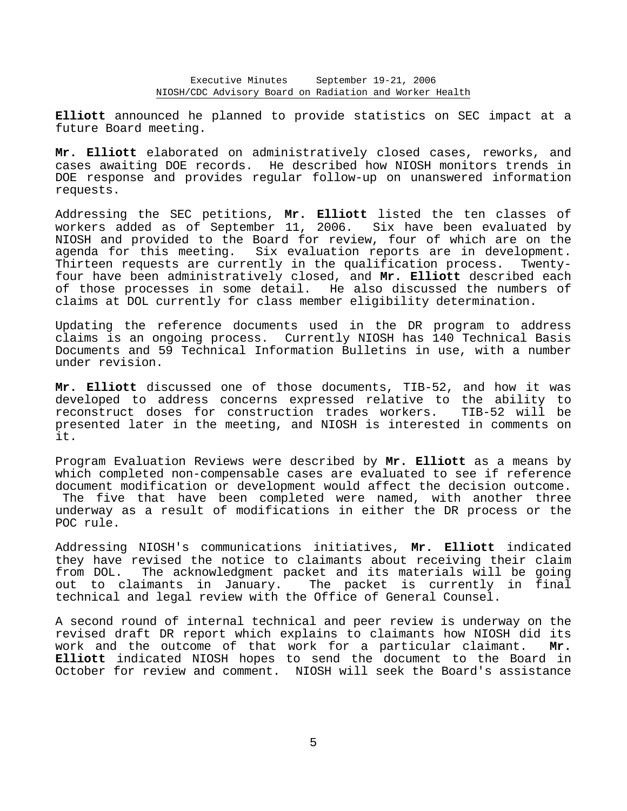**Elliott** announced he planned to provide statistics on SEC impact at a future Board meeting.

**Mr. Elliott** elaborated on administratively closed cases, reworks, and cases awaiting DOE records. He described how NIOSH monitors trends in DOE response and provides regular follow-up on unanswered information requests.

Addressing the SEC petitions, **Mr. Elliott** listed the ten classes of workers added as of September 11, 2006. Six have been evaluated by NIOSH and provided to the Board for review, four of which are on the agenda for this meeting. Six evaluation reports are in development. Thirteen requests are currently in the qualification process. Twentyfour have been administratively closed, and **Mr. Elliott** described each of those processes in some detail. He also discussed the numbers of claims at DOL currently for class member eligibility determination.

Updating the reference documents used in the DR program to address claims is an ongoing process. Currently NIOSH has 140 Technical Basis Documents and 59 Technical Information Bulletins in use, with a number under revision.

**Mr. Elliott** discussed one of those documents, TIB-52, and how it was developed to address concerns expressed relative to the ability to reconstruct doses for construction trades workers. TIB-52 will be presented later in the meeting, and NIOSH is interested in comments on it.

Program Evaluation Reviews were described by **Mr. Elliott** as a means by which completed non-compensable cases are evaluated to see if reference document modification or development would affect the decision outcome. The five that have been completed were named, with another three underway as a result of modifications in either the DR process or the POC rule.

Addressing NIOSH's communications initiatives, **Mr. Elliott** indicated they have revised the notice to claimants about receiving their claim from DOL. The acknowledgment packet and its materials will be going out to claimants in January. The packet is currently in final technical and legal review with the Office of General Counsel.

A second round of internal technical and peer review is underway on the revised draft DR report which explains to claimants how NIOSH did its work and the outcome of that work for a particular claimant. **Mr. Elliott** indicated NIOSH hopes to send the document to the Board in October for review and comment. NIOSH will seek the Board's assistance

5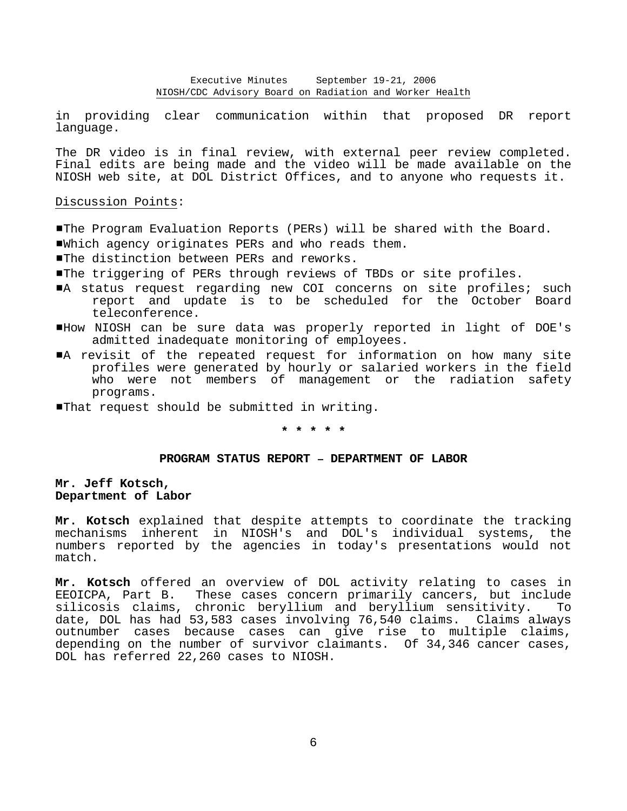in providing clear communication within that proposed DR report language.

The DR video is in final review, with external peer review completed. Final edits are being made and the video will be made available on the NIOSH web site, at DOL District Offices, and to anyone who requests it.

Discussion Points:

- #The Program Evaluation Reports (PERs) will be shared with the Board. #Which agency originates PERs and who reads them.
- **I**The distinction between PERs and reworks.
- #The triggering of PERs through reviews of TBDs or site profiles.
- A status request regarding new COI concerns on site profiles; such report and update is to be scheduled for the October Board teleconference.
- #How NIOSH can be sure data was properly reported in light of DOE's admitted inadequate monitoring of employees.
- A revisit of the repeated request for information on how many site profiles were generated by hourly or salaried workers in the field who were not members of management or the radiation safety programs.
- **I**That request should be submitted in writing.

### **\* \* \* \* \***

#### **PROGRAM STATUS REPORT - DEPARTMENT OF LABOR**

**Mr. Jeff Kotsch, Department of Labor** 

**Mr. Kotsch** explained that despite attempts to coordinate the tracking mechanisms inherent in NIOSH's and DOL's individual systems, the numbers reported by the agencies in today's presentations would not match.

**Mr. Kotsch** offered an overview of DOL activity relating to cases in EEOICPA, Part B. These cases concern primarily cancers, but include silicosis claims, chronic beryllium and beryllium sensitivity. date, DOL has had 53,583 cases involving 76,540 claims. Claims always outnumber cases because cases can give rise to multiple claims, depending on the number of survivor claimants. Of 34,346 cancer cases, DOL has referred 22,260 cases to NIOSH.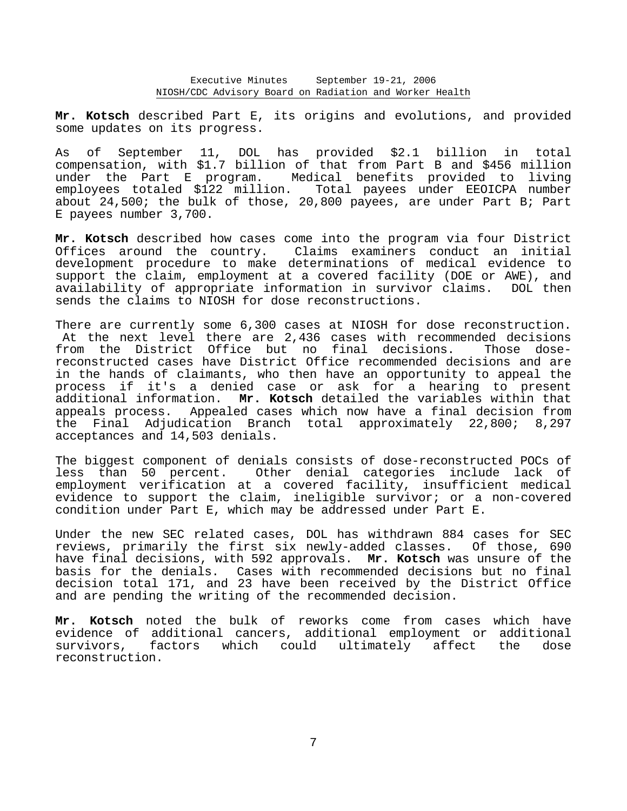**Mr. Kotsch** described Part E, its origins and evolutions, and provided some updates on its progress.

As of September 11, DOL has provided \$2.1 billion in total compensation, with \$1.7 billion of that from Part B and \$456 million under the Part E program. Medical benefits provided to living employees totaled \$122 million. Total payees under EEOICPA number about 24,500; the bulk of those, 20,800 payees, are under Part B; Part E payees number 3,700.

**Mr. Kotsch** described how cases come into the program via four District Offices around the country. Claims examiners conduct an initial development procedure to make determinations of medical evidence to support the claim, employment at a covered facility (DOE or AWE), and availability of appropriate information in survivor claims. DOL then sends the claims to NIOSH for dose reconstructions.

There are currently some 6,300 cases at NIOSH for dose reconstruction. At the next level there are 2,436 cases with recommended decisions from the District Office but no final decisions. Those dosereconstructed cases have District Office recommended decisions and are in the hands of claimants, who then have an opportunity to appeal the process if it's a denied case or ask for a hearing to present additional information. **Mr. Kotsch** detailed the variables within that appeals process. Appealed cases which now have a final decision from the Final Adjudication Branch total approximately 22,800; 8,297 acceptances and 14,503 denials.

The biggest component of denials consists of dose-reconstructed POCs of less than 50 percent. Other denial categories include lack of employment verification at a covered facility, insufficient medical evidence to support the claim, ineligible survivor; or a non-covered condition under Part E, which may be addressed under Part E.

Under the new SEC related cases, DOL has withdrawn 884 cases for SEC reviews, primarily the first six newly-added classes. Of those, 690 have final decisions, with 592 approvals. **Mr. Kotsch** was unsure of the basis for the denials. Cases with recommended decisions but no final decision total 171, and 23 have been received by the District Office and are pending the writing of the recommended decision.

**Mr. Kotsch** noted the bulk of reworks come from cases which have evidence of additional cancers, additional employment or additional survivors, factors which could ultimately affect the dose reconstruction.

7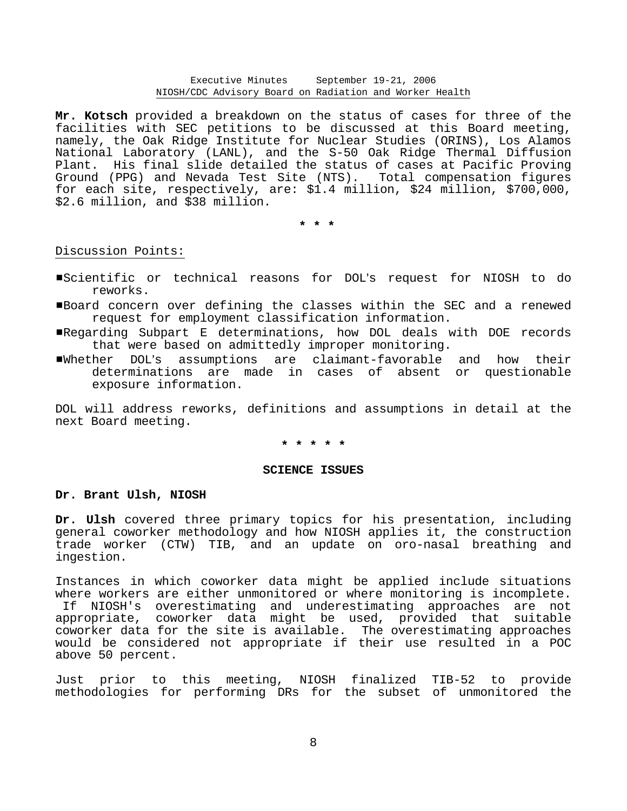**Mr. Kotsch** provided a breakdown on the status of cases for three of the facilities with SEC petitions to be discussed at this Board meeting, namely, the Oak Ridge Institute for Nuclear Studies (ORINS), Los Alamos National Laboratory (LANL), and the S-50 Oak Ridge Thermal Diffusion Plant. His final slide detailed the status of cases at Pacific Proving Ground (PPG) and Nevada Test Site (NTS). Total compensation figures for each site, respectively, are: \$1.4 million, \$24 million, \$700,000, \$2.6 million, and \$38 million.

**\* \* \*** 

# Discussion Points:

- ■Scientific or technical reasons for DOL's request for NIOSH to do reworks.
- #Board concern over defining the classes within the SEC and a renewed request for employment classification information.
- #Regarding Subpart E determinations, how DOL deals with DOE records that were based on admittedly improper monitoring.
- ■Whether DOL's assumptions are claimant-favorable and how their determinations are made in cases of absent or questionable exposure information.

DOL will address reworks, definitions and assumptions in detail at the next Board meeting.

# **\* \* \* \* \***

#### **SCIENCE ISSUES**

### **Dr. Brant Ulsh, NIOSH**

**Dr. Ulsh** covered three primary topics for his presentation, including general coworker methodology and how NIOSH applies it, the construction trade worker (CTW) TIB, and an update on oro-nasal breathing and ingestion.

Instances in which coworker data might be applied include situations where workers are either unmonitored or where monitoring is incomplete. If NIOSH's overestimating and underestimating approaches are not appropriate, coworker data might be used, provided that suitable coworker data for the site is available. The overestimating approaches would be considered not appropriate if their use resulted in a POC above 50 percent.

Just prior to this meeting, NIOSH finalized TIB-52 to provide methodologies for performing DRs for the subset of unmonitored the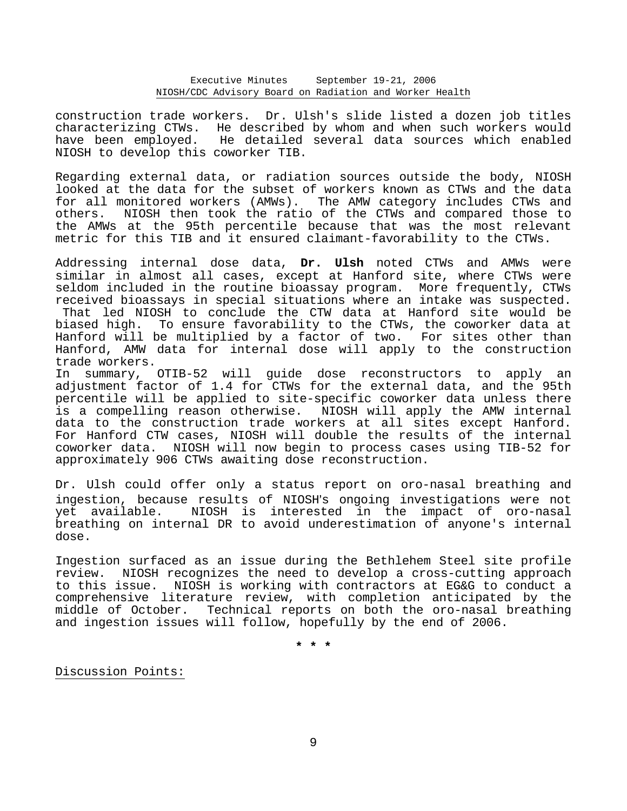construction trade workers. Dr. Ulsh's slide listed a dozen job titles characterizing CTWs. He described by whom and when such workers would have been employed. He detailed several data sources which enabled NIOSH to develop this coworker TIB.

Regarding external data, or radiation sources outside the body, NIOSH looked at the data for the subset of workers known as CTWs and the data for all monitored workers (AMWs). The AMW category includes CTWs and others. NIOSH then took the ratio of the CTWs and compared those to the AMWs at the 95th percentile because that was the most relevant metric for this TIB and it ensured claimant-favorability to the CTWs.

Addressing internal dose data, **Dr. Ulsh** noted CTWs and AMWs were similar in almost all cases, except at Hanford site, where CTWs were seldom included in the routine bioassay program. More frequently, CTWs received bioassays in special situations where an intake was suspected. That led NIOSH to conclude the CTW data at Hanford site would be biased high. To ensure favorability to the CTWs, the coworker data at Hanford will be multiplied by a factor of two. For sites other than Hanford, AMW data for internal dose will apply to the construction trade workers.

In summary, OTIB-52 will guide dose reconstructors to apply an adjustment factor of 1.4 for CTWs for the external data, and the 95th percentile will be applied to site-specific coworker data unless there is a compelling reason otherwise. NIOSH will apply the AMW internal data to the construction trade workers at all sites except Hanford. For Hanford CTW cases, NIOSH will double the results of the internal coworker data. NIOSH will now begin to process cases using TIB-52 for approximately 906 CTWs awaiting dose reconstruction.

Dr. Ulsh could offer only a status report on oro-nasal breathing and ingestion, because results of NIOSH's ongoing investigations were not yet available. NIOSH is interested in the impact of oro-nasal breathing on internal DR to avoid underestimation of anyone's internal dose.

Ingestion surfaced as an issue during the Bethlehem Steel site profile review. NIOSH recognizes the need to develop a cross-cutting approach to this issue. NIOSH is working with contractors at EG&G to conduct a comprehensive literature review, with completion anticipated by the middle of October. Technical reports on both the oro-nasal breathing and ingestion issues will follow, hopefully by the end of 2006.

**\* \* \*** 

Discussion Points: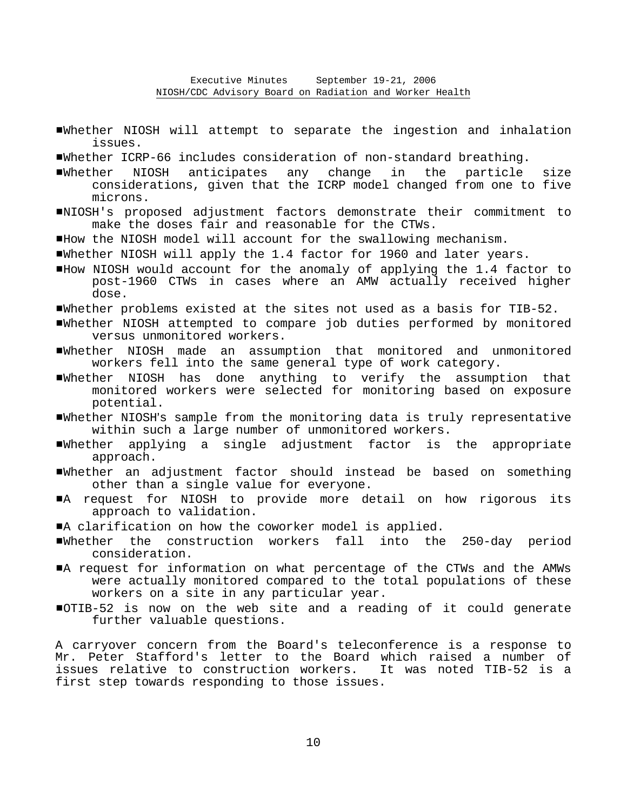- #Whether NIOSH will attempt to separate the ingestion and inhalation issues.
- #Whether ICRP-66 includes consideration of non-standard breathing.
- #Whether NIOSH anticipates any change in the particle size considerations, given that the ICRP model changed from one to five microns.
- #NIOSH's proposed adjustment factors demonstrate their commitment to make the doses fair and reasonable for the CTWs.
- #How the NIOSH model will account for the swallowing mechanism.
- #Whether NIOSH will apply the 1.4 factor for 1960 and later years.
- #How NIOSH would account for the anomaly of applying the 1.4 factor to post-1960 CTWs in cases where an AMW actually received higher dose.
- #Whether problems existed at the sites not used as a basis for TIB-52.
- #Whether NIOSH attempted to compare job duties performed by monitored versus unmonitored workers.
- #Whether NIOSH made an assumption that monitored and unmonitored workers fell into the same general type of work category.
- #Whether NIOSH has done anything to verify the assumption that monitored workers were selected for monitoring based on exposure potential.
- $\blacksquare$ Whether NIOSH's sample from the monitoring data is truly representative within such a large number of unmonitored workers.
- #Whether applying a single adjustment factor is the appropriate approach.
- #Whether an adjustment factor should instead be based on something other than a single value for everyone.
- A request for NIOSH to provide more detail on how rigorous its approach to validation.
- $\blacksquare$ A clarification on how the coworker model is applied.
- #Whether the construction workers fall into the 250-day period consideration.
- #A request for information on what percentage of the CTWs and the AMWs were actually monitored compared to the total populations of these workers on a site in any particular year.
- #OTIB-52 is now on the web site and a reading of it could generate further valuable questions.

A carryover concern from the Board's teleconference is a response to Mr. Peter Stafford's letter to the Board which raised a number of issues relative to construction workers. It was noted TIB-52 is a first step towards responding to those issues.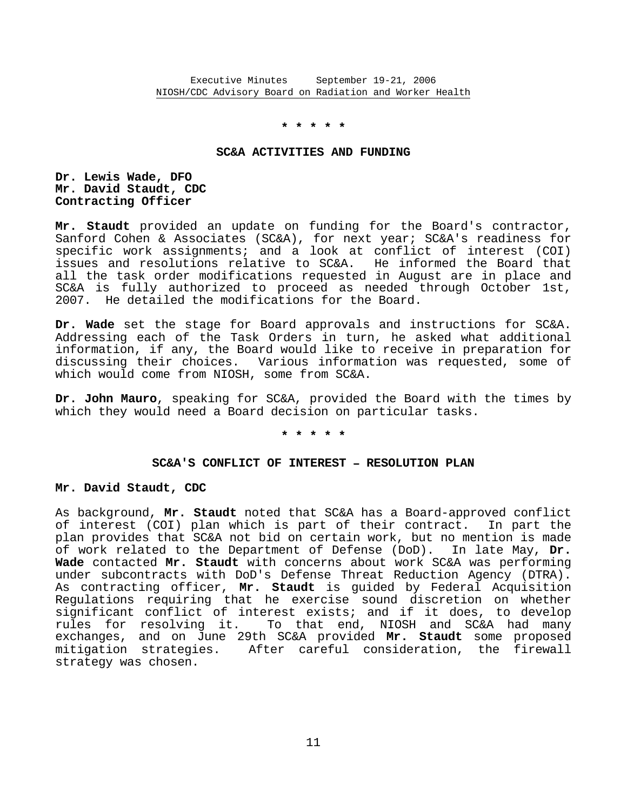# **\* \* \* \* \***

# **SC&A ACTIVITIES AND FUNDING**

# **Dr. Lewis Wade, DFO Mr. David Staudt, CDC Contracting Officer**

**Mr. Staudt** provided an update on funding for the Board's contractor, Sanford Cohen & Associates (SC&A), for next year; SC&A's readiness for specific work assignments; and a look at conflict of interest (COI) issues and resolutions relative to SC&A. He informed the Board that all the task order modifications requested in August are in place and SC&A is fully authorized to proceed as needed through October 1st, 2007. He detailed the modifications for the Board.

**Dr. Wade** set the stage for Board approvals and instructions for SC&A. Addressing each of the Task Orders in turn, he asked what additional information, if any, the Board would like to receive in preparation for discussing their choices. Various information was requested, some of which would come from NIOSH, some from SC&A.

**Dr. John Mauro**, speaking for SC&A, provided the Board with the times by which they would need a Board decision on particular tasks.

# **\* \* \* \* \***

### SC&A'S CONFLICT OF INTEREST - RESOLUTION PLAN

#### **Mr. David Staudt, CDC**

As background, **Mr. Staudt** noted that SC&A has a Board-approved conflict of interest (COI) plan which is part of their contract. In part the plan provides that SC&A not bid on certain work, but no mention is made of work related to the Department of Defense (DoD). In late May, **Dr. Wade** contacted **Mr. Staudt** with concerns about work SC&A was performing under subcontracts with DoD's Defense Threat Reduction Agency (DTRA). As contracting officer, **Mr. Staudt** is guided by Federal Acquisition Regulations requiring that he exercise sound discretion on whether significant conflict of interest exists; and if it does, to develop rules for resolving it. To that end, NIOSH and SC&A had many exchanges, and on June 29th SC&A provided **Mr. Staudt** some proposed mitigation strategies. After careful consideration, the firewall strategy was chosen.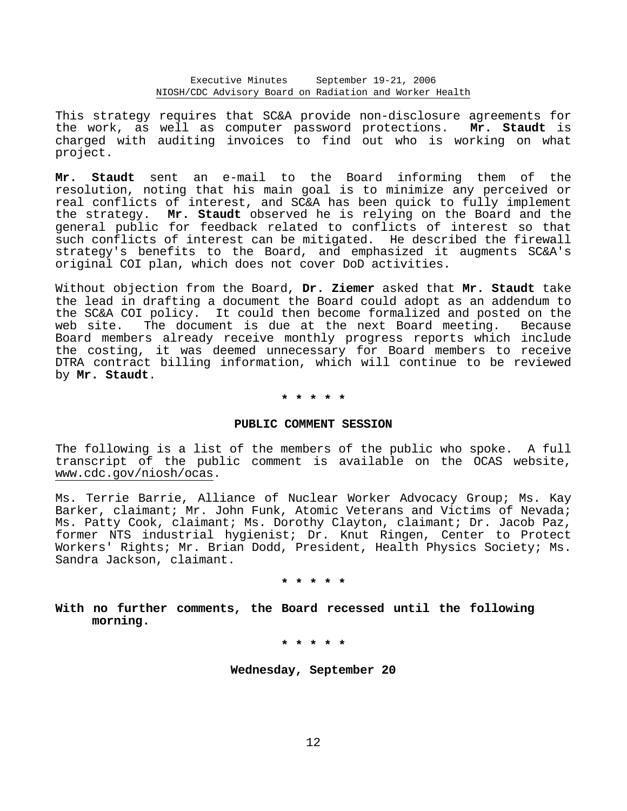This strategy requires that SC&A provide non-disclosure agreements for the work, as well as computer password protections. **Mr. Staudt** is charged with auditing invoices to find out who is working on what project.

**Mr. Staudt** sent an e-mail to the Board informing them of the resolution, noting that his main goal is to minimize any perceived or real conflicts of interest, and SC&A has been quick to fully implement the strategy. **Mr. Staudt** observed he is relying on the Board and the general public for feedback related to conflicts of interest so that such conflicts of interest can be mitigated. He described the firewall strategy's benefits to the Board, and emphasized it augments SC&A's original COI plan, which does not cover DoD activities.

Without objection from the Board, **Dr. Ziemer** asked that **Mr. Staudt** take the lead in drafting a document the Board could adopt as an addendum to the SC&A COI policy. It could then become formalized and posted on the web site. The document is due at the next Board meeting. Because Board members already receive monthly progress reports which include the costing, it was deemed unnecessary for Board members to receive DTRA contract billing information, which will continue to be reviewed by **Mr. Staudt**.

#### **\* \* \* \* \***

### **PUBLIC COMMENT SESSION**

The following is a list of the members of the public who spoke. A full transcript of the public comment is available on the OCAS website, www.cdc.gov/niosh/ocas.

Ms. Terrie Barrie, Alliance of Nuclear Worker Advocacy Group; Ms. Kay Barker, claimant; Mr. John Funk, Atomic Veterans and Victims of Nevada; Ms. Patty Cook, claimant; Ms. Dorothy Clayton, claimant; Dr. Jacob Paz, former NTS industrial hygienist; Dr. Knut Ringen, Center to Protect Workers' Rights; Mr. Brian Dodd, President, Health Physics Society; Ms. Sandra Jackson, claimant.

**\* \* \* \* \*** 

**With no further comments, the Board recessed until the following morning.** 

**\* \* \* \* \*** 

**Wednesday, September 20**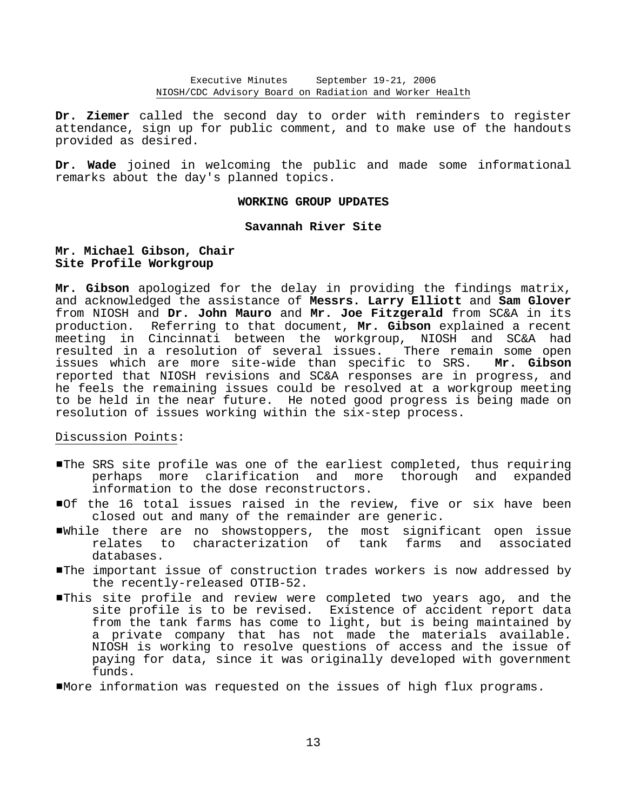**Dr. Ziemer** called the second day to order with reminders to register attendance, sign up for public comment, and to make use of the handouts provided as desired.

**Dr. Wade** joined in welcoming the public and made some informational remarks about the day's planned topics.

# **WORKING GROUP UPDATES**

# **Savannah River Site**

# **Mr. Michael Gibson, Chair Site Profile Workgroup**

**Mr. Gibson** apologized for the delay in providing the findings matrix, and acknowledged the assistance of **Messrs. Larry Elliott** and **Sam Glover** from NIOSH and **Dr. John Mauro** and **Mr. Joe Fitzgerald** from SC&A in its production. Referring to that document, **Mr. Gibson** explained a recent meeting in Cincinnati between the workgroup, NIOSH and SC&A had resulted in a resolution of several issues. There remain some open issues which are more site-wide than specific to SRS. **Mr. Gibson** reported that NIOSH revisions and SC&A responses are in progress, and he feels the remaining issues could be resolved at a workgroup meeting to be held in the near future. He noted good progress is being made on resolution of issues working within the six-step process.

# Discussion Points:

- #The SRS site profile was one of the earliest completed, thus requiring perhaps more clarification and more thorough and expanded information to the dose reconstructors.
- #Of the 16 total issues raised in the review, five or six have been closed out and many of the remainder are generic.
- #While there are no showstoppers, the most significant open issue characterization of tank farms and associated databases.
- #The important issue of construction trades workers is now addressed by the recently-released OTIB-52.
- #This site profile and review were completed two years ago, and the site profile is to be revised. Existence of accident report data from the tank farms has come to light, but is being maintained by a private company that has not made the materials available. NIOSH is working to resolve questions of access and the issue of paying for data, since it was originally developed with government funds.
- #More information was requested on the issues of high flux programs.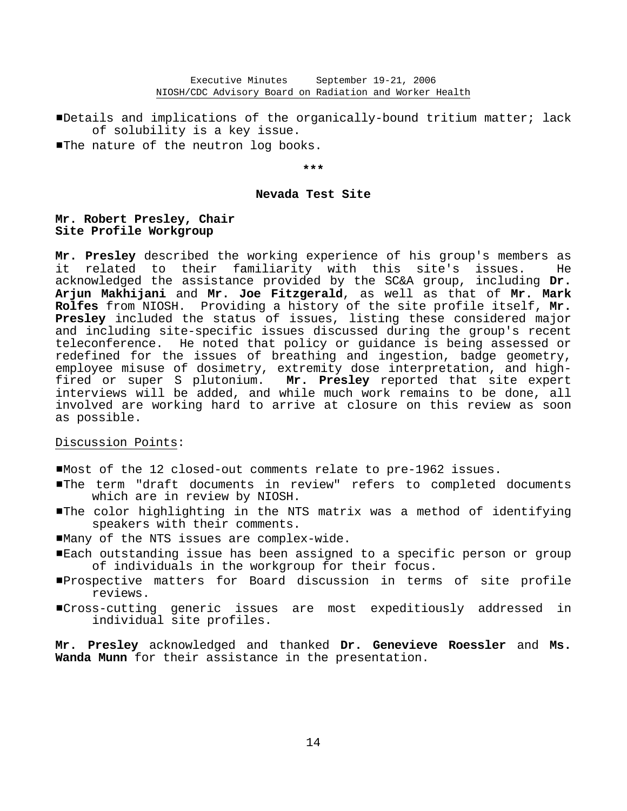#Details and implications of the organically-bound tritium matter; lack of solubility is a key issue. The nature of the neutron log books.

# **\*\*\***

# **Nevada Test Site**

# **Mr. Robert Presley, Chair Site Profile Workgroup**

**Mr. Presley** described the working experience of his group's members as it related to their familiarity with this site's issues. He acknowledged the assistance provided by the SC&A group, including **Dr. Arjun Makhijani** and **Mr. Joe Fitzgerald**, as well as that of **Mr. Mark Rolfes** from NIOSH. Providing a history of the site profile itself, **Mr. Presley** included the status of issues, listing these considered major and including site-specific issues discussed during the group's recent teleconference. He noted that policy or guidance is being assessed or redefined for the issues of breathing and ingestion, badge geometry, employee misuse of dosimetry, extremity dose interpretation, and high fired or super S plutonium. **Mr. Presley** reported that site expert interviews will be added, and while much work remains to be done, all involved are working hard to arrive at closure on this review as soon as possible.

# Discussion Points:

#Most of the 12 closed-out comments relate to pre-1962 issues.

- #The term "draft documents in review" refers to completed documents which are in review by NIOSH.
- **The color highlighting in the NTS matrix was a method of identifying** speakers with their comments.
- #Many of the NTS issues are complex-wide.
- #Each outstanding issue has been assigned to a specific person or group of individuals in the workgroup for their focus.
- #Prospective matters for Board discussion in terms of site profile reviews.
- #Cross-cutting generic issues are most expeditiously addressed in individual site profiles.

**Mr. Presley** acknowledged and thanked **Dr. Genevieve Roessler** and **Ms. Wanda Munn** for their assistance in the presentation.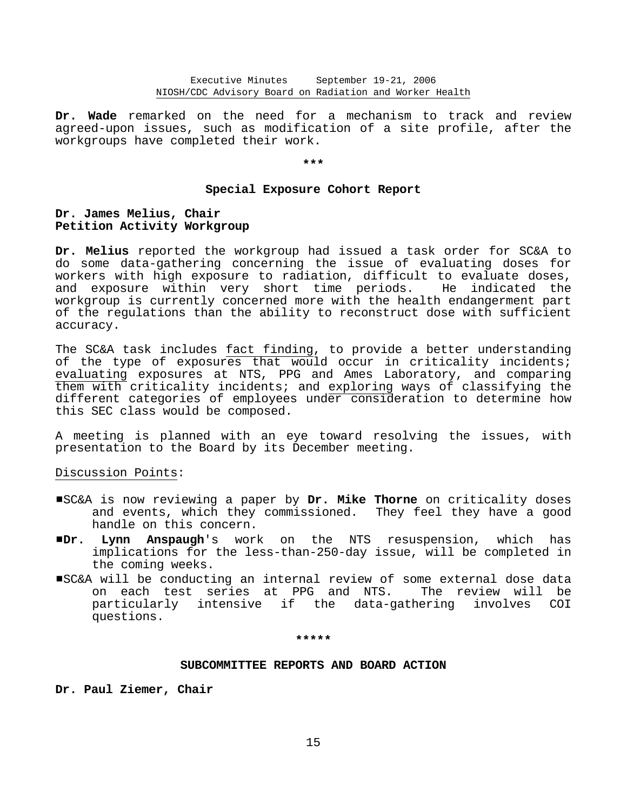**Dr. Wade** remarked on the need for a mechanism to track and review agreed-upon issues, such as modification of a site profile, after the workgroups have completed their work.

#### **\*\*\***

#### **Special Exposure Cohort Report**

# **Dr. James Melius, Chair Petition Activity Workgroup**

**Dr. Melius** reported the workgroup had issued a task order for SC&A to do some data-gathering concerning the issue of evaluating doses for workers with high exposure to radiation, difficult to evaluate doses, and exposure within very short time periods. He indicated the workgroup is currently concerned more with the health endangerment part of the regulations than the ability to reconstruct dose with sufficient accuracy.

The SC&A task includes fact finding, to provide a better understanding of the type of exposures that would occur in criticality incidents; evaluating exposures at NTS, PPG and Ames Laboratory, and comparing them with criticality incidents; and exploring ways of classifying the different categories of employees under consideration to determine how this SEC class would be composed.

A meeting is planned with an eye toward resolving the issues, with presentation to the Board by its December meeting.

# Discussion Points:

- #SC&A is now reviewing a paper by **Dr. Mike Thorne** on criticality doses and events, which they commissioned. They feel they have a good handle on this concern.
- #**Dr. Lynn Anspaugh**'s work on the NTS resuspension, which has implications for the less-than-250-day issue, will be completed in the coming weeks.
- #SC&A will be conducting an internal review of some external dose data on each test series at PPG and NTS. The review will be particularly intensive if the data-gathering involves COI questions.

#### **\*\*\*\*\***

# **SUBCOMMITTEE REPORTS AND BOARD ACTION**

**Dr. Paul Ziemer, Chair**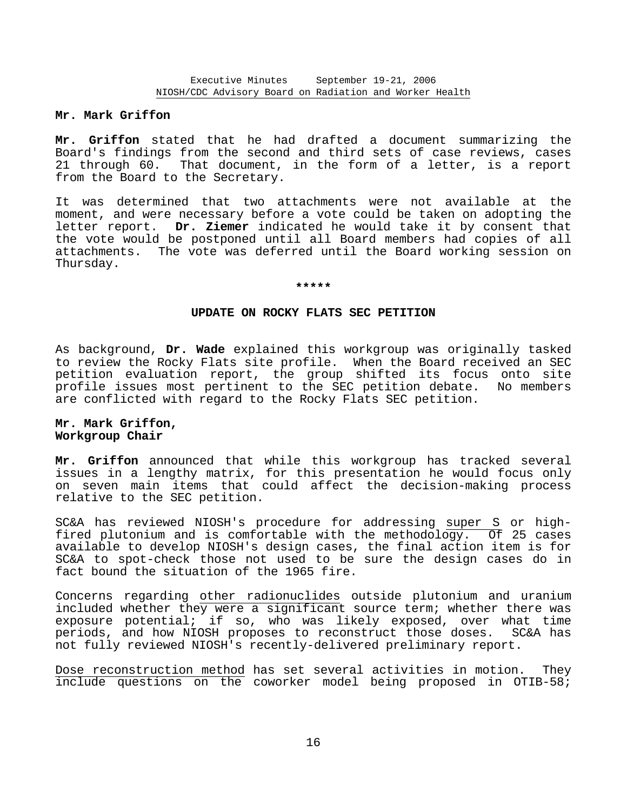# **Mr. Mark Griffon**

**Mr. Griffon** stated that he had drafted a document summarizing the Board's findings from the second and third sets of case reviews, cases 21 through 60. That document, in the form of a letter, is a report from the Board to the Secretary.

It was determined that two attachments were not available at the moment, and were necessary before a vote could be taken on adopting the letter report. **Dr. Ziemer** indicated he would take it by consent that the vote would be postponed until all Board members had copies of all attachments. The vote was deferred until the Board working session on Thursday.

#### **\*\*\*\*\***

# **UPDATE ON ROCKY FLATS SEC PETITION**

As background, **Dr. Wade** explained this workgroup was originally tasked to review the Rocky Flats site profile. When the Board received an SEC petition evaluation report, the group shifted its focus onto site profile issues most pertinent to the SEC petition debate. No members are conflicted with regard to the Rocky Flats SEC petition.

# **Mr. Mark Griffon, Workgroup Chair**

**Mr. Griffon** announced that while this workgroup has tracked several issues in a lengthy matrix, for this presentation he would focus only on seven main items that could affect the decision-making process relative to the SEC petition.

SC&A has reviewed NIOSH's procedure for addressing super S or high fired plutonium and is comfortable with the methodology. Of 25 cases available to develop NIOSH's design cases, the final action item is for SC&A to spot-check those not used to be sure the design cases do in fact bound the situation of the 1965 fire.

Concerns regarding other radionuclides outside plutonium and uranium included whether they were a significant source term; whether there was exposure potential; if so, who was likely exposed, over what time periods, and how NIOSH proposes to reconstruct those doses. SC&A has not fully reviewed NIOSH's recently-delivered preliminary report.

Dose reconstruction method has set several activities in motion. They include questions on the coworker model being proposed in OTIB-58;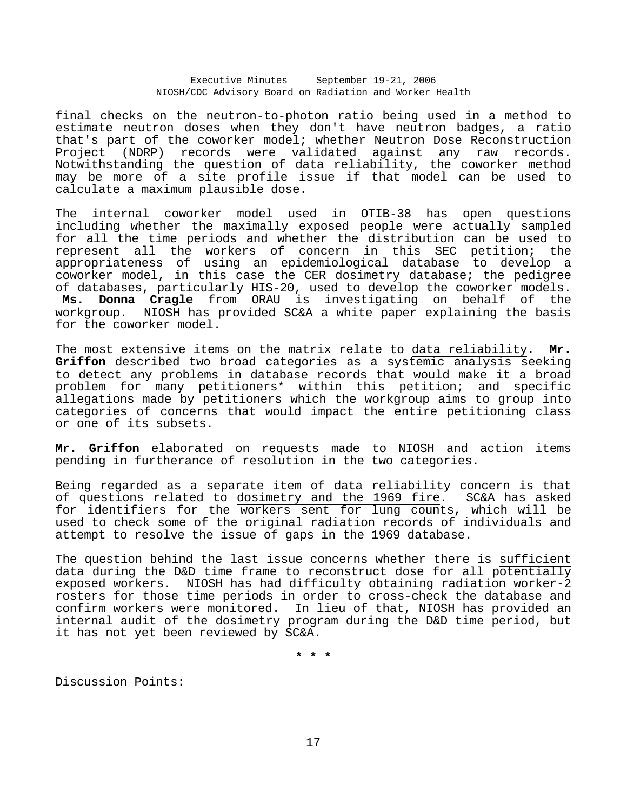final checks on the neutron-to-photon ratio being used in a method to estimate neutron doses when they don't have neutron badges, a ratio that's part of the coworker model; whether Neutron Dose Reconstruction Project (NDRP) records were validated against any raw records. Notwithstanding the question of data reliability, the coworker method may be more of a site profile issue if that model can be used to calculate a maximum plausible dose.

The internal coworker model used in OTIB-38 has open questions including whether the maximally exposed people were actually sampled for all the time periods and whether the distribution can be used to represent all the workers of concern in this SEC petition; the appropriateness of using an epidemiological database to develop a coworker model, in this case the CER dosimetry database; the pedigree of databases, particularly HIS-20, used to develop the coworker models. **Ms. Donna Cragle** from ORAU is investigating on behalf of the workgroup. NIOSH has provided SC&A a white paper explaining the basis for the coworker model.

The most extensive items on the matrix relate to data reliability. **Mr. Griffon** described two broad categories as a systemic analysis seeking to detect any problems in database records that would make it a broad problem for many petitioners\* within this petition; and specific allegations made by petitioners which the workgroup aims to group into categories of concerns that would impact the entire petitioning class or one of its subsets.

**Mr. Griffon** elaborated on requests made to NIOSH and action items pending in furtherance of resolution in the two categories.

Being regarded as a separate item of data reliability concern is that of questions related to dosimetry and the 1969 fire. SC&A has asked for identifiers for the workers sent for lung counts, which will be used to check some of the original radiation records of individuals and attempt to resolve the issue of gaps in the 1969 database.

The question behind the last issue concerns whether there is sufficient data during the D&D time frame to reconstruct dose for all potentially exposed workers. NIOSH has had difficulty obtaining radiation worker-2 rosters for those time periods in order to cross-check the database and confirm workers were monitored. In lieu of that, NIOSH has provided an internal audit of the dosimetry program during the D&D time period, but it has not yet been reviewed by SC&A.

**\* \* \*** 

Discussion Points: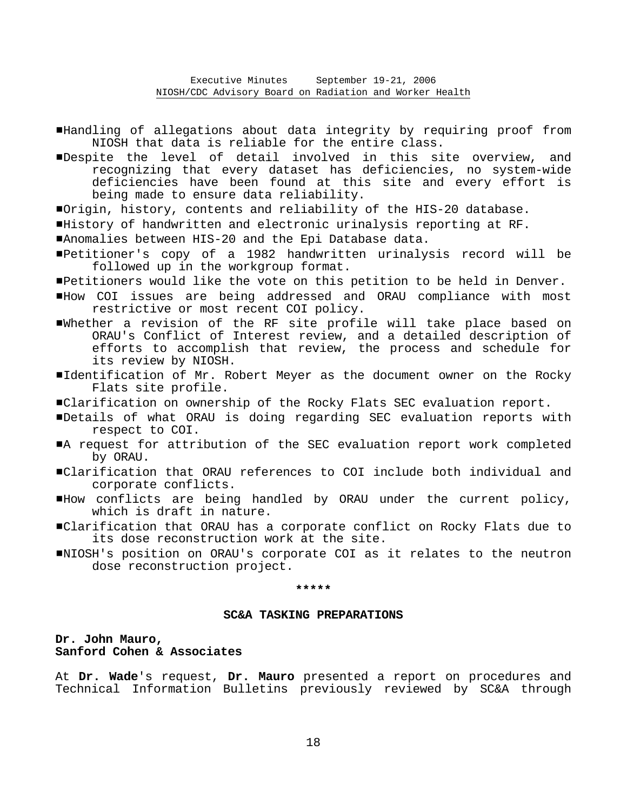- #Handling of allegations about data integrity by requiring proof from NIOSH that data is reliable for the entire class.
- Despite the level of detail involved in this site overview, and recognizing that every dataset has deficiencies, no system-wide deficiencies have been found at this site and every effort is being made to ensure data reliability.
- #Origin, history, contents and reliability of the HIS-20 database.
- #History of handwritten and electronic urinalysis reporting at RF.
- #Anomalies between HIS-20 and the Epi Database data.
- #Petitioner's copy of a 1982 handwritten urinalysis record will be followed up in the workgroup format.
- #Petitioners would like the vote on this petition to be held in Denver.
- #How COI issues are being addressed and ORAU compliance with most restrictive or most recent COI policy.
- #Whether a revision of the RF site profile will take place based on ORAU's Conflict of Interest review, and a detailed description of efforts to accomplish that review, the process and schedule for its review by NIOSH.
- Identification of Mr. Robert Meyer as the document owner on the Rocky Flats site profile.
- #Clarification on ownership of the Rocky Flats SEC evaluation report.
- #Details of what ORAU is doing regarding SEC evaluation reports with respect to COI.
- A request for attribution of the SEC evaluation report work completed by ORAU.
- #Clarification that ORAU references to COI include both individual and corporate conflicts.
- #How conflicts are being handled by ORAU under the current policy, which is draft in nature.
- #Clarification that ORAU has a corporate conflict on Rocky Flats due to its dose reconstruction work at the site.
- #NIOSH's position on ORAU's corporate COI as it relates to the neutron dose reconstruction project.

**\*\*\*\*\*** 

### **SC&A TASKING PREPARATIONS**

# **Dr. John Mauro, Sanford Cohen & Associates**

At **Dr. Wade**'s request, **Dr. Mauro** presented a report on procedures and Technical Information Bulletins previously reviewed by SC&A through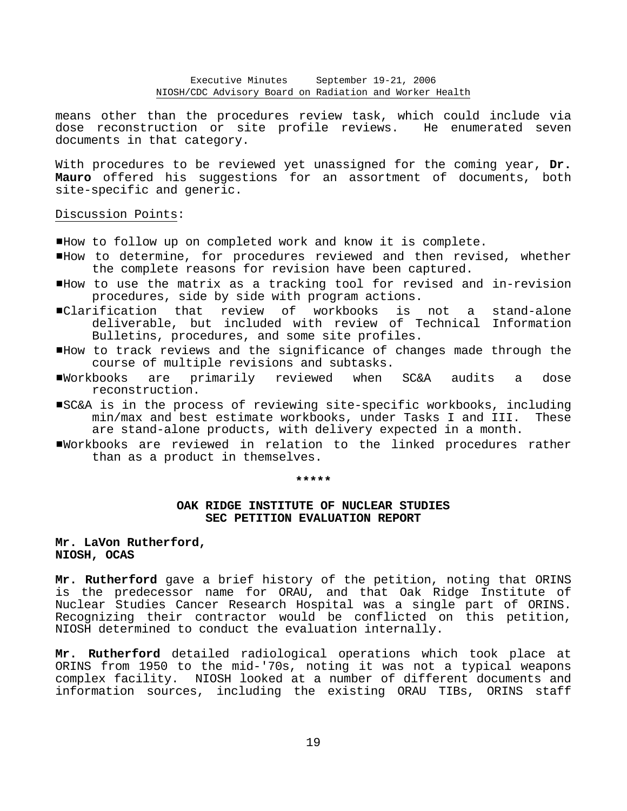means other than the procedures review task, which could include via dose reconstruction or site profile reviews. He enumerated seven documents in that category.

With procedures to be reviewed yet unassigned for the coming year, **Dr. Mauro** offered his suggestions for an assortment of documents, both site-specific and generic.

# Discussion Points:

- #How to follow up on completed work and know it is complete.
- #How to determine, for procedures reviewed and then revised, whether the complete reasons for revision have been captured.
- #How to use the matrix as a tracking tool for revised and in-revision procedures, side by side with program actions.
- #Clarification that review of workbooks is not a stand-alone deliverable, but included with review of Technical Information Bulletins, procedures, and some site profiles.
- #How to track reviews and the significance of changes made through the course of multiple revisions and subtasks.
- #Workbooks are primarily reviewed when SC&A audits a dose reconstruction.
- #SC&A is in the process of reviewing site-specific workbooks, including min/max and best estimate workbooks, under Tasks I and III. These are stand-alone products, with delivery expected in a month.
- #Workbooks are reviewed in relation to the linked procedures rather than as a product in themselves.

#### **\*\*\*\*\***

# **OAK RIDGE INSTITUTE OF NUCLEAR STUDIES SEC PETITION EVALUATION REPORT**

# **Mr. LaVon Rutherford, NIOSH, OCAS**

**Mr. Rutherford** gave a brief history of the petition, noting that ORINS is the predecessor name for ORAU, and that Oak Ridge Institute of Nuclear Studies Cancer Research Hospital was a single part of ORINS. Recognizing their contractor would be conflicted on this petition, NIOSH determined to conduct the evaluation internally.

**Mr. Rutherford** detailed radiological operations which took place at ORINS from 1950 to the mid-'70s, noting it was not a typical weapons complex facility. NIOSH looked at a number of different documents and information sources, including the existing ORAU TIBs, ORINS staff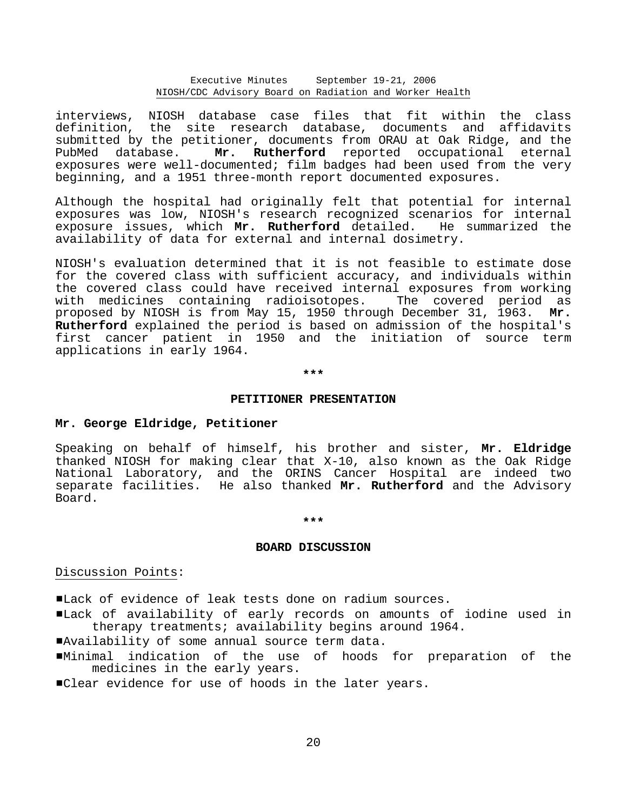interviews, NIOSH database case files that fit within the class definition, the site research database, documents and affidavits submitted by the petitioner, documents from ORAU at Oak Ridge, and the PubMed database. **Mr. Rutherford** reported occupational eternal exposures were well-documented; film badges had been used from the very beginning, and a 1951 three-month report documented exposures.

Although the hospital had originally felt that potential for internal exposures was low, NIOSH's research recognized scenarios for internal exposure issues, which **Mr. Rutherford** detailed. He summarized the availability of data for external and internal dosimetry.

NIOSH's evaluation determined that it is not feasible to estimate dose for the covered class with sufficient accuracy, and individuals within the covered class could have received internal exposures from working with medicines containing radioisotopes. The covered period as proposed by NIOSH is from May 15, 1950 through December 31, 1963. **Mr. Rutherford** explained the period is based on admission of the hospital's first cancer patient in 1950 and the initiation of source term applications in early 1964.

**\*\*\*** 

### **PETITIONER PRESENTATION**

### **Mr. George Eldridge, Petitioner**

Speaking on behalf of himself, his brother and sister, **Mr. Eldridge** thanked NIOSH for making clear that X-10, also known as the Oak Ridge National Laboratory, and the ORINS Cancer Hospital are indeed two separate facilities. He also thanked **Mr. Rutherford** and the Advisory Board.

#### **\*\*\***

### **BOARD DISCUSSION**

# Discussion Points:

#Lack of evidence of leak tests done on radium sources.

#Lack of availability of early records on amounts of iodine used in therapy treatments; availability begins around 1964.

#Availability of some annual source term data.

#Minimal indication of the use of hoods for preparation of the medicines in the early years.

**"Clear evidence for use of hoods in the later years.**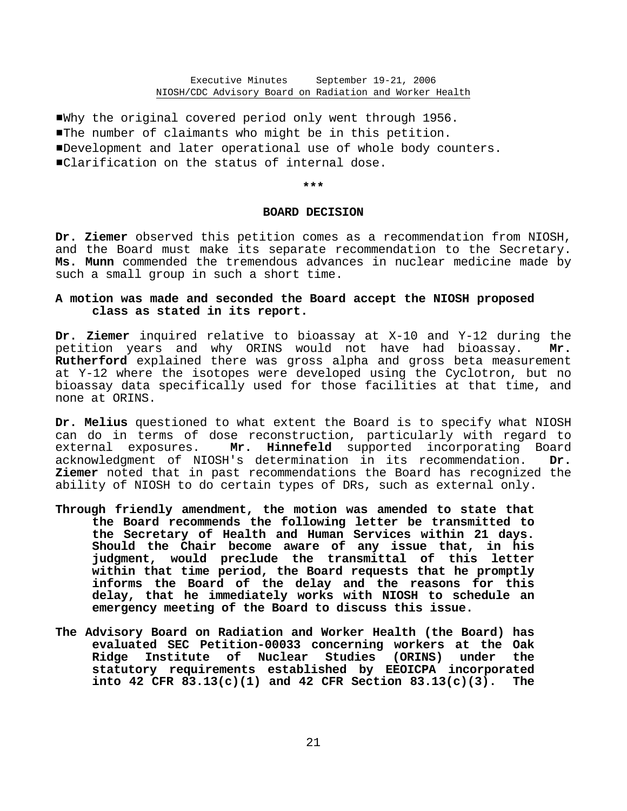#Why the original covered period only went through 1956. **The number of claimants who might be in this petition.** #Development and later operational use of whole body counters. ■Clarification on the status of internal dose.

**\*\*\*** 

#### **BOARD DECISION**

**Dr. Ziemer** observed this petition comes as a recommendation from NIOSH, and the Board must make its separate recommendation to the Secretary. **Ms. Munn** commended the tremendous advances in nuclear medicine made by such a small group in such a short time.

# **A motion was made and seconded the Board accept the NIOSH proposed class as stated in its report.**

**Dr. Ziemer** inquired relative to bioassay at X-10 and Y-12 during the petition years and why ORINS would not have had bioassay. **Mr. Rutherford** explained there was gross alpha and gross beta measurement at Y-12 where the isotopes were developed using the Cyclotron, but no bioassay data specifically used for those facilities at that time, and none at ORINS.

**Dr. Melius** questioned to what extent the Board is to specify what NIOSH can do in terms of dose reconstruction, particularly with regard to external exposures. **Mr. Hinnefeld** supported incorporating Board acknowledgment of NIOSH's determination in its recommendation. **Dr. Ziemer** noted that in past recommendations the Board has recognized the ability of NIOSH to do certain types of DRs, such as external only.

- **Through friendly amendment, the motion was amended to state that the Board recommends the following letter be transmitted to the Secretary of Health and Human Services within 21 days. Should the Chair become aware of any issue that, in his judgment, would preclude the transmittal of this letter within that time period, the Board requests that he promptly informs the Board of the delay and the reasons for this delay, that he immediately works with NIOSH to schedule an emergency meeting of the Board to discuss this issue.**
- **The Advisory Board on Radiation and Worker Health (the Board) has evaluated SEC Petition-00033 concerning workers at the Oak Ridge Institute of Nuclear Studies (ORINS) under the statutory requirements established by EEOICPA incorporated into 42 CFR 83.13(c)(1) and 42 CFR Section 83.13(c)(3). The**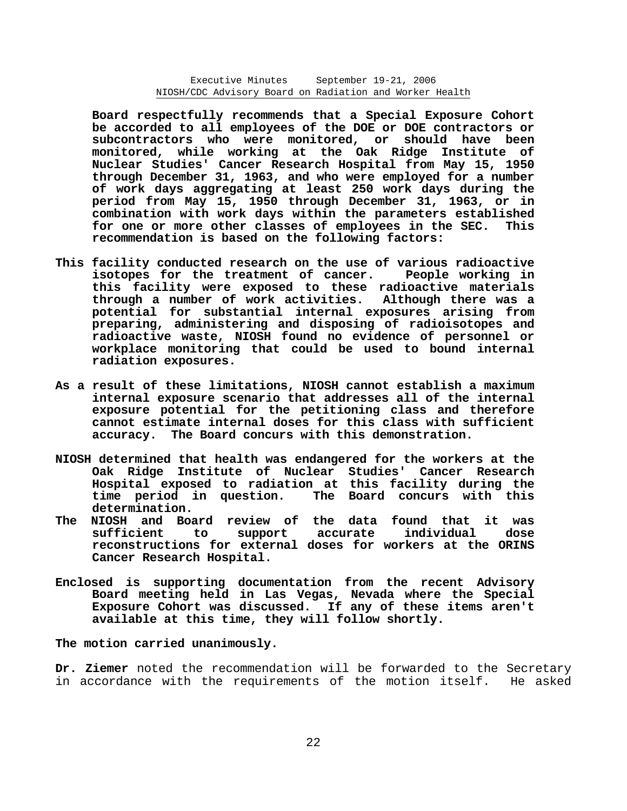**Board respectfully recommends that a Special Exposure Cohort be accorded to all employees of the DOE or DOE contractors or subcontractors who were monitored, or should have been monitored, while working at the Oak Ridge Institute of Nuclear Studies' Cancer Research Hospital from May 15, 1950 through December 31, 1963, and who were employed for a number of work days aggregating at least 250 work days during the period from May 15, 1950 through December 31, 1963, or in combination with work days within the parameters established for one or more other classes of employees in the SEC. This recommendation is based on the following factors:** 

- **This facility conducted research on the use of various radioactive isotopes for the treatment of cancer. People working in this facility were exposed to these radioactive materials through a number of work activities. Although there was a potential for substantial internal exposures arising from preparing, administering and disposing of radioisotopes and radioactive waste, NIOSH found no evidence of personnel or workplace monitoring that could be used to bound internal radiation exposures.**
- **As a result of these limitations, NIOSH cannot establish a maximum internal exposure scenario that addresses all of the internal exposure potential for the petitioning class and therefore cannot estimate internal doses for this class with sufficient accuracy. The Board concurs with this demonstration.**
- **NIOSH determined that health was endangered for the workers at the Oak Ridge Institute of Nuclear Studies' Cancer Research Hospital exposed to radiation at this facility during the time period in question. The Board concurs with this determination.**
- **The NIOSH and Board review of the data found that it was sufficient to support accurate individual dose reconstructions for external doses for workers at the ORINS Cancer Research Hospital.**
- **Enclosed is supporting documentation from the recent Advisory Board meeting held in Las Vegas, Nevada where the Special Exposure Cohort was discussed. If any of these items aren't available at this time, they will follow shortly.**

**The motion carried unanimously.** 

**Dr. Ziemer** noted the recommendation will be forwarded to the Secretary in accordance with the requirements of the motion itself. He asked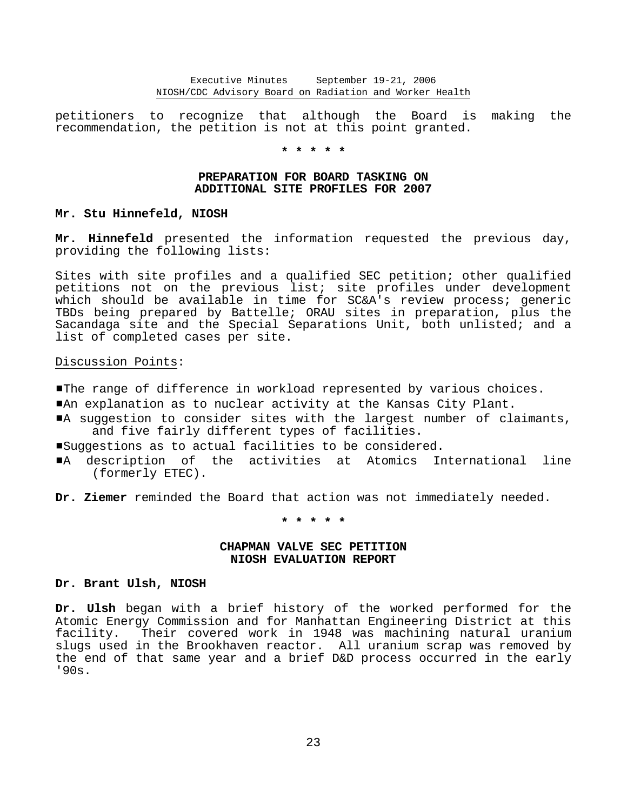petitioners to recognize that although the Board is making the recommendation, the petition is not at this point granted.

**\* \* \* \* \*** 

# **PREPARATION FOR BOARD TASKING ON ADDITIONAL SITE PROFILES FOR 2007**

# **Mr. Stu Hinnefeld, NIOSH**

**Mr. Hinnefeld** presented the information requested the previous day, providing the following lists:

Sites with site profiles and a qualified SEC petition; other qualified petitions not on the previous list; site profiles under development which should be available in time for SC&A's review process; generic TBDs being prepared by Battelle; ORAU sites in preparation, plus the Sacandaga site and the Special Separations Unit, both unlisted; and a list of completed cases per site.

# Discussion Points:

- **The range of difference in workload represented by various choices.**
- **"An explanation as to nuclear activity at the Kansas City Plant.**
- A suggestion to consider sites with the largest number of claimants, and five fairly different types of facilities.
- Suggestions as to actual facilities to be considered.
- #A description of the activities at Atomics International line (formerly ETEC).

**Dr. Ziemer** reminded the Board that action was not immediately needed.

**\* \* \* \* \*** 

# **CHAPMAN VALVE SEC PETITION NIOSH EVALUATION REPORT**

### **Dr. Brant Ulsh, NIOSH**

**Dr. Ulsh** began with a brief history of the worked performed for the Atomic Energy Commission and for Manhattan Engineering District at this facility. Their covered work in 1948 was machining natural uranium slugs used in the Brookhaven reactor. All uranium scrap was removed by the end of that same year and a brief D&D process occurred in the early '90s.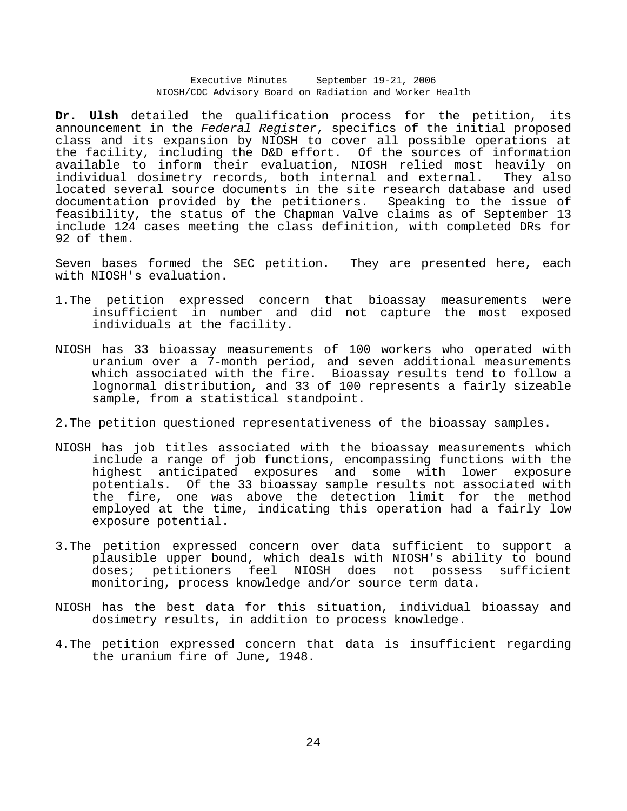**Dr. Ulsh** detailed the qualification process for the petition, its announcement in the *Federal Register*, specifics of the initial proposed class and its expansion by NIOSH to cover all possible operations at the facility, including the D&D effort. Of the sources of information available to inform their evaluation, NIOSH relied most heavily on individual dosimetry records, both internal and external. They also located several source documents in the site research database and used documentation provided by the petitioners. Speaking to the issue of feasibility, the status of the Chapman Valve claims as of September 13 include 124 cases meeting the class definition, with completed DRs for 92 of them.

Seven bases formed the SEC petition. They are presented here, each with NIOSH's evaluation.

- 1.The petition expressed concern that bioassay measurements were insufficient in number and did not capture the most exposed individuals at the facility.
- NIOSH has 33 bioassay measurements of 100 workers who operated with uranium over a 7-month period, and seven additional measurements which associated with the fire. Bioassay results tend to follow a lognormal distribution, and 33 of 100 represents a fairly sizeable sample, from a statistical standpoint.
- 2.The petition questioned representativeness of the bioassay samples.
- NIOSH has job titles associated with the bioassay measurements which include a range of job functions, encompassing functions with the highest anticipated exposures and some with lower exposure potentials. Of the 33 bioassay sample results not associated with the fire, one was above the detection limit for the method employed at the time, indicating this operation had a fairly low exposure potential.
- 3.The petition expressed concern over data sufficient to support a plausible upper bound, which deals with NIOSH's ability to bound doses; petitioners feel NIOSH does not possess sufficient monitoring, process knowledge and/or source term data.
- NIOSH has the best data for this situation, individual bioassay and dosimetry results, in addition to process knowledge.
- 4.The petition expressed concern that data is insufficient regarding the uranium fire of June, 1948.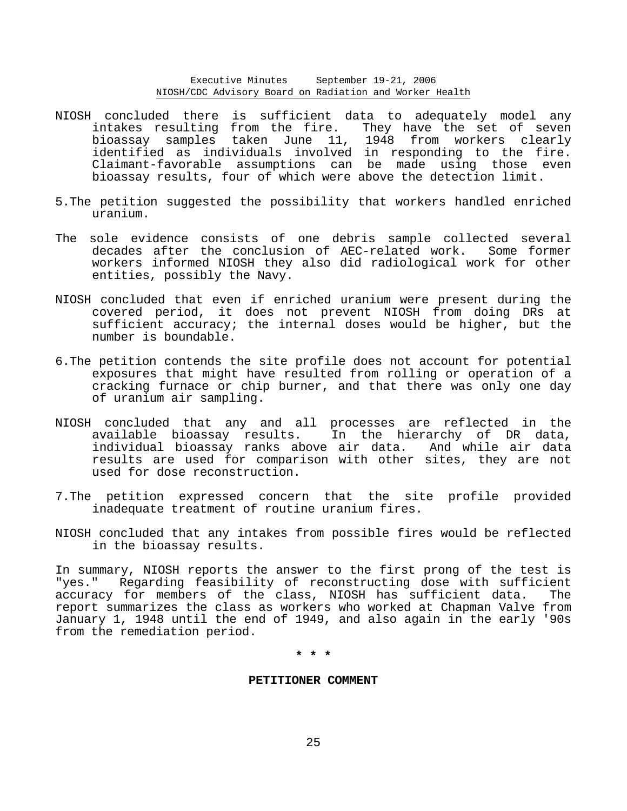- NIOSH concluded there is sufficient data to adequately model any intakes resulting from the fire. They have the set of seven bioassay samples taken June 11, 1948 from workers clearly identified as individuals involved in responding to the fire. Claimant-favorable assumptions can be made using those even bioassay results, four of which were above the detection limit.
- 5.The petition suggested the possibility that workers handled enriched uranium.
- The sole evidence consists of one debris sample collected several decades after the conclusion of AEC-related work. Some former workers informed NIOSH they also did radiological work for other entities, possibly the Navy.
- NIOSH concluded that even if enriched uranium were present during the covered period, it does not prevent NIOSH from doing DRs at sufficient accuracy; the internal doses would be higher, but the number is boundable.
- 6.The petition contends the site profile does not account for potential exposures that might have resulted from rolling or operation of a cracking furnace or chip burner, and that there was only one day of uranium air sampling.
- NIOSH concluded that any and all processes are reflected in the available bioassay results. In the hierarchy of DR data, individual bioassay ranks above air data. And while air data results are used for comparison with other sites, they are not used for dose reconstruction.
- 7.The petition expressed concern that the site profile provided inadequate treatment of routine uranium fires.
- NIOSH concluded that any intakes from possible fires would be reflected in the bioassay results.

In summary, NIOSH reports the answer to the first prong of the test is "yes." Regarding feasibility of reconstructing dose with sufficient accuracy for members of the class, NIOSH has sufficient data. The report summarizes the class as workers who worked at Chapman Valve from January 1, 1948 until the end of 1949, and also again in the early '90s from the remediation period.

**\* \* \*** 

### **PETITIONER COMMENT**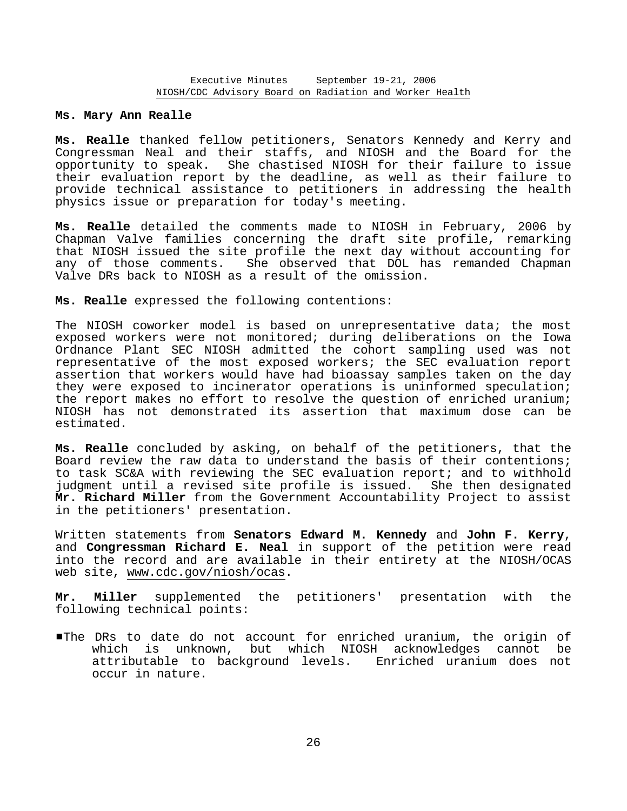### **Ms. Mary Ann Realle**

**Ms. Realle** thanked fellow petitioners, Senators Kennedy and Kerry and Congressman Neal and their staffs, and NIOSH and the Board for the opportunity to speak. She chastised NIOSH for their failure to issue their evaluation report by the deadline, as well as their failure to provide technical assistance to petitioners in addressing the health physics issue or preparation for today's meeting.

**Ms. Realle** detailed the comments made to NIOSH in February, 2006 by Chapman Valve families concerning the draft site profile, remarking that NIOSH issued the site profile the next day without accounting for any of those comments. She observed that DOL has remanded Chapman Valve DRs back to NIOSH as a result of the omission.

# **Ms. Realle** expressed the following contentions:

The NIOSH coworker model is based on unrepresentative data; the most exposed workers were not monitored; during deliberations on the Iowa Ordnance Plant SEC NIOSH admitted the cohort sampling used was not representative of the most exposed workers; the SEC evaluation report assertion that workers would have had bioassay samples taken on the day they were exposed to incinerator operations is uninformed speculation; the report makes no effort to resolve the question of enriched uranium; NIOSH has not demonstrated its assertion that maximum dose can be estimated.

**Ms. Realle** concluded by asking, on behalf of the petitioners, that the Board review the raw data to understand the basis of their contentions; to task SC&A with reviewing the SEC evaluation report; and to withhold judgment until a revised site profile is issued. She then designated **Mr. Richard Miller** from the Government Accountability Project to assist in the petitioners' presentation.

Written statements from **Senators Edward M. Kennedy** and **John F. Kerry**, and **Congressman Richard E. Neal** in support of the petition were read into the record and are available in their entirety at the NIOSH/OCAS web site, www.cdc.gov/niosh/ocas.

**Mr. Miller** supplemented the petitioners' presentation with the following technical points:

#The DRs to date do not account for enriched uranium, the origin of which is unknown, but which NIOSH acknowledges cannot be attributable to background levels. Enriched uranium does not occur in nature.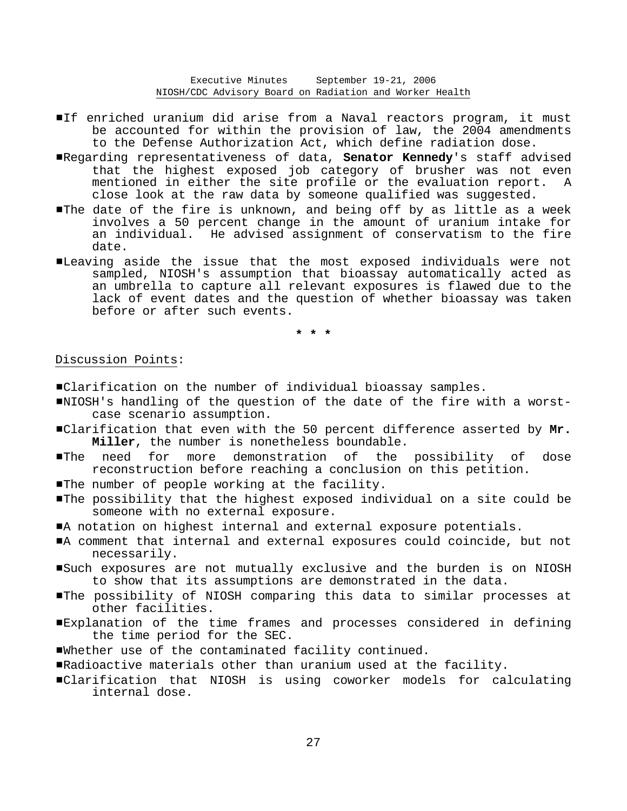- If enriched uranium did arise from a Naval reactors program, it must be accounted for within the provision of law, the 2004 amendments to the Defense Authorization Act, which define radiation dose.
- #Regarding representativeness of data, **Senator Kennedy**'s staff advised that the highest exposed job category of brusher was not even mentioned in either the site profile or the evaluation report. A close look at the raw data by someone qualified was suggested.
- The date of the fire is unknown, and being off by as little as a week involves a 50 percent change in the amount of uranium intake for an individual. He advised assignment of conservatism to the fire date.
- #Leaving aside the issue that the most exposed individuals were not sampled, NIOSH's assumption that bioassay automatically acted as an umbrella to capture all relevant exposures is flawed due to the lack of event dates and the question of whether bioassay was taken before or after such events.

**\* \* \*** 

# Discussion Points:

#Clarification on the number of individual bioassay samples.

- #NIOSH's handling of the question of the date of the fire with a worstcase scenario assumption.
- #Clarification that even with the 50 percent difference asserted by **Mr. Miller**, the number is nonetheless boundable.
- #The need for more demonstration of the possibility of dose reconstruction before reaching a conclusion on this petition.
- The number of people working at the facility.
- #The possibility that the highest exposed individual on a site could be someone with no external exposure.
- #A notation on highest internal and external exposure potentials.
- $\blacksquare$  comment that internal and external exposures could coincide, but not necessarily.
- Such exposures are not mutually exclusive and the burden is on NIOSH to show that its assumptions are demonstrated in the data.
- #The possibility of NIOSH comparing this data to similar processes at other facilities.
- #Explanation of the time frames and processes considered in defining the time period for the SEC.
- #Whether use of the contaminated facility continued.
- #Radioactive materials other than uranium used at the facility.
- #Clarification that NIOSH is using coworker models for calculating internal dose.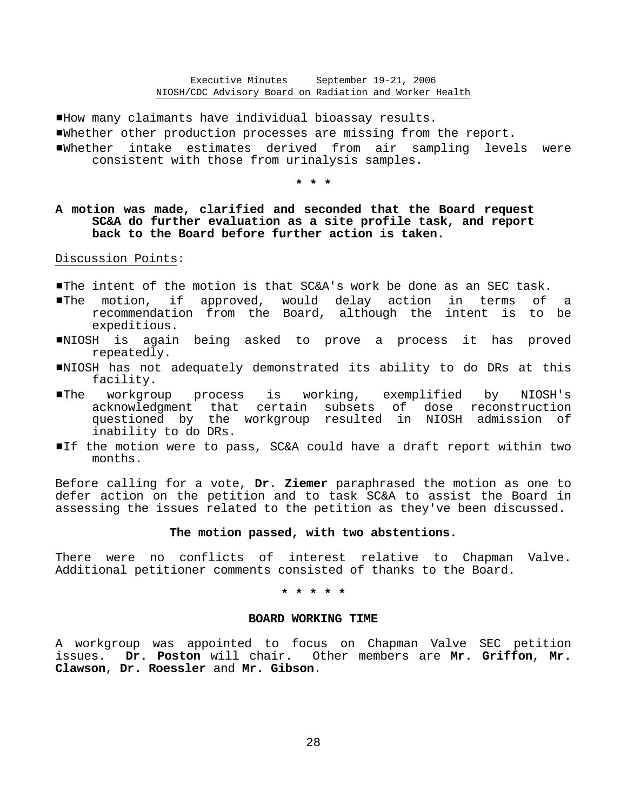#How many claimants have individual bioassay results.

- #Whether other production processes are missing from the report.
- #Whether intake estimates derived from air sampling levels were consistent with those from urinalysis samples.

**\* \* \*** 

# **A motion was made, clarified and seconded that the Board request SC&A do further evaluation as a site profile task, and report back to the Board before further action is taken.**

Discussion Points:

- #The intent of the motion is that SC&A's work be done as an SEC task.
- **IThe motion, if approved, would delay action in terms of a** recommendation from the Board, although the intent is to be expeditious.
- #NIOSH is again being asked to prove a process it has proved repeatedly.
- #NIOSH has not adequately demonstrated its ability to do DRs at this facility.
- #The workgroup process is working, exemplified by NIOSH's acknowledgment that certain subsets of dose reconstruction questioned by the workgroup resulted in NIOSH admission of inability to do DRs.
- If the motion were to pass, SC&A could have a draft report within two months.

Before calling for a vote, **Dr. Ziemer** paraphrased the motion as one to defer action on the petition and to task SC&A to assist the Board in assessing the issues related to the petition as they've been discussed.

## **The motion passed, with two abstentions.**

There were no conflicts of interest relative to Chapman Valve. Additional petitioner comments consisted of thanks to the Board.

**\* \* \* \* \*** 

### **BOARD WORKING TIME**

A workgroup was appointed to focus on Chapman Valve SEC petition issues. **Dr. Poston** will chair. Other members are **Mr. Griffon**, **Mr. Clawson**, **Dr. Roessler** and **Mr. Gibson**.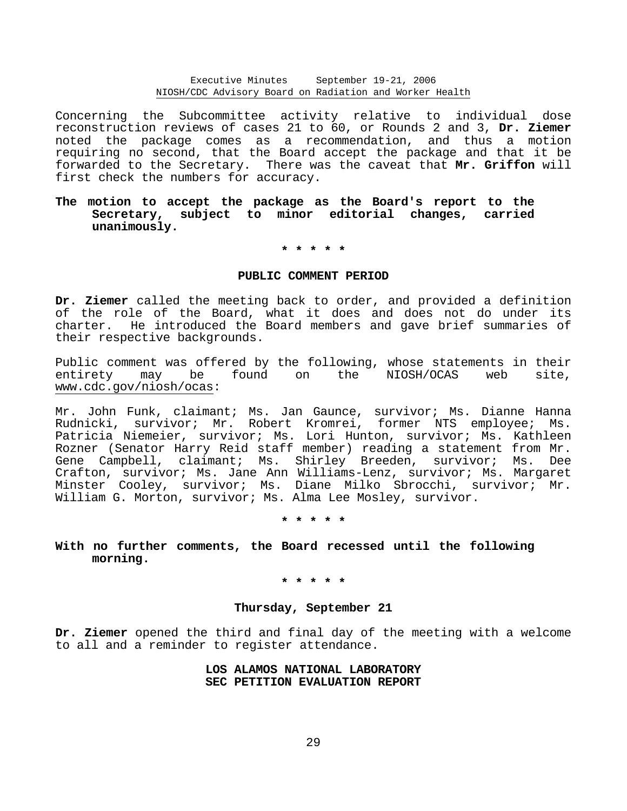Concerning the Subcommittee activity relative to individual dose reconstruction reviews of cases 21 to 60, or Rounds 2 and 3, **Dr. Ziemer** noted the package comes as a recommendation, and thus a motion requiring no second, that the Board accept the package and that it be forwarded to the Secretary. There was the caveat that **Mr. Griffon** will first check the numbers for accuracy.

# **The motion to accept the package as the Board's report to the Secretary, subject to minor editorial changes, carried unanimously.**

# **\* \* \* \* \***

# **PUBLIC COMMENT PERIOD**

**Dr. Ziemer** called the meeting back to order, and provided a definition of the role of the Board, what it does and does not do under its charter. He introduced the Board members and gave brief summaries of their respective backgrounds.

Public comment was offered by the following, whose statements in their entirety may be found on the NIOSH/OCAS web site, www.cdc.gov/niosh/ocas:

Mr. John Funk, claimant; Ms. Jan Gaunce, survivor; Ms. Dianne Hanna Rudnicki, survivor; Mr. Robert Kromrei, former NTS employee; Ms. Patricia Niemeier, survivor; Ms. Lori Hunton, survivor; Ms. Kathleen Rozner (Senator Harry Reid staff member) reading a statement from Mr. Gene Campbell, claimant; Ms. Shirley Breeden, survivor; Ms. Dee Crafton, survivor; Ms. Jane Ann Williams-Lenz, survivor; Ms. Margaret Minster Cooley, survivor; Ms. Diane Milko Sbrocchi, survivor; Mr. William G. Morton, survivor; Ms. Alma Lee Mosley, survivor.

**\* \* \* \* \*** 

**With no further comments, the Board recessed until the following morning.** 

**\* \* \* \* \*** 

# **Thursday, September 21**

**Dr. Ziemer** opened the third and final day of the meeting with a welcome to all and a reminder to register attendance.

# **LOS ALAMOS NATIONAL LABORATORY SEC PETITION EVALUATION REPORT**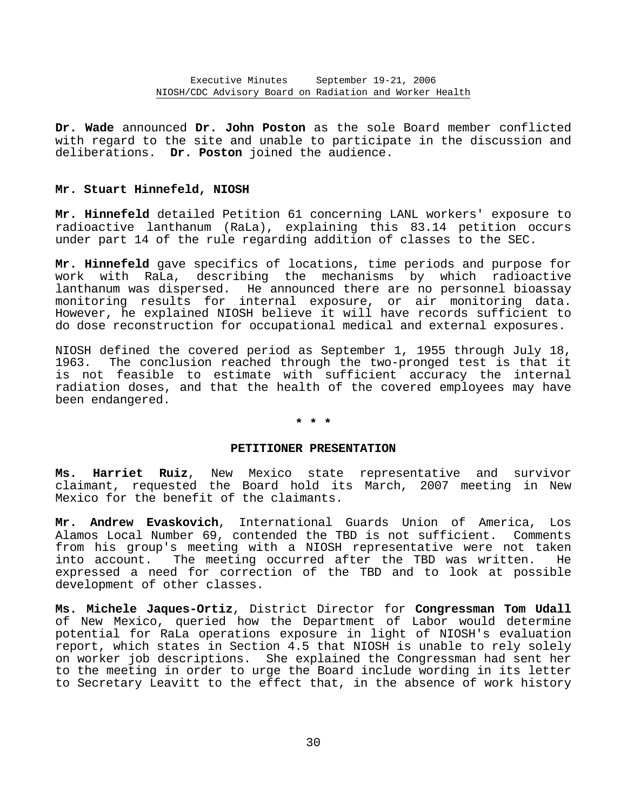**Dr. Wade** announced **Dr. John Poston** as the sole Board member conflicted with regard to the site and unable to participate in the discussion and deliberations. **Dr. Poston** joined the audience.

# **Mr. Stuart Hinnefeld, NIOSH**

**Mr. Hinnefeld** detailed Petition 61 concerning LANL workers' exposure to radioactive lanthanum (RaLa), explaining this 83.14 petition occurs under part 14 of the rule regarding addition of classes to the SEC.

**Mr. Hinnefeld** gave specifics of locations, time periods and purpose for work with RaLa, describing the mechanisms by which radioactive lanthanum was dispersed. He announced there are no personnel bioassay monitoring results for internal exposure, or air monitoring data. However, he explained NIOSH believe it will have records sufficient to do dose reconstruction for occupational medical and external exposures.

NIOSH defined the covered period as September 1, 1955 through July 18, 1963. The conclusion reached through the two-pronged test is that it is not feasible to estimate with sufficient accuracy the internal radiation doses, and that the health of the covered employees may have been endangered.

# **\* \* \***

#### **PETITIONER PRESENTATION**

**Ms. Harriet Ruiz**, New Mexico state representative and survivor claimant, requested the Board hold its March, 2007 meeting in New Mexico for the benefit of the claimants.

**Mr. Andrew Evaskovich**, International Guards Union of America, Los Alamos Local Number 69, contended the TBD is not sufficient. Comments from his group's meeting with a NIOSH representative were not taken into account. The meeting occurred after the TBD was written. He expressed a need for correction of the TBD and to look at possible development of other classes.

**Ms. Michele Jaques-Ortiz**, District Director for **Congressman Tom Udall** of New Mexico, queried how the Department of Labor would determine potential for RaLa operations exposure in light of NIOSH's evaluation report, which states in Section 4.5 that NIOSH is unable to rely solely on worker job descriptions. She explained the Congressman had sent her to the meeting in order to urge the Board include wording in its letter to Secretary Leavitt to the effect that, in the absence of work history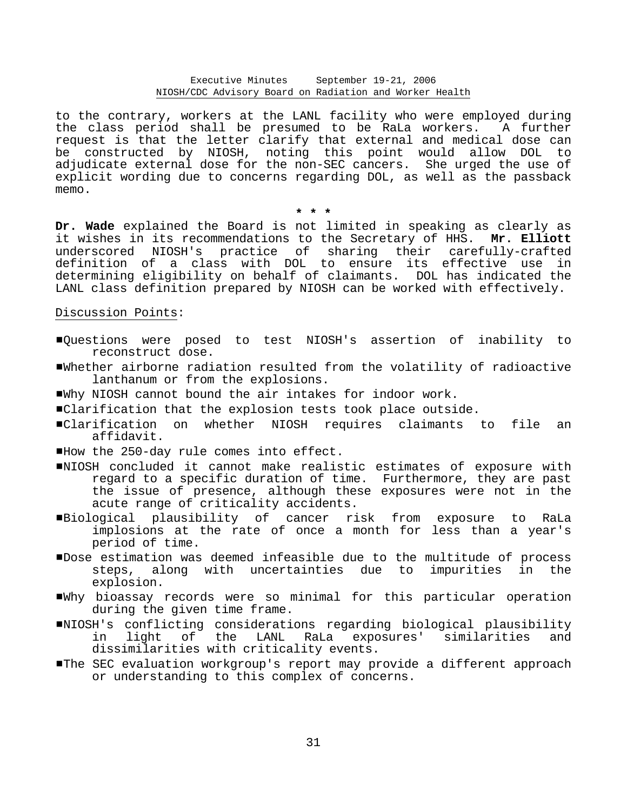to the contrary, workers at the LANL facility who were employed during the class period shall be presumed to be RaLa workers. A further request is that the letter clarify that external and medical dose can be constructed by NIOSH, noting this point would allow DOL to adjudicate external dose for the non-SEC cancers. She urged the use of explicit wording due to concerns regarding DOL, as well as the passback memo.

**\* \* \*** 

**Dr. Wade** explained the Board is not limited in speaking as clearly as it wishes in its recommendations to the Secretary of HHS. **Mr. Elliott** underscored NIOSH's practice of sharing their carefully-crafted definition of a class with DOL to ensure its effective use in determining eligibility on behalf of claimants. DOL has indicated the LANL class definition prepared by NIOSH can be worked with effectively.

# Discussion Points:

- #Questions were posed to test NIOSH's assertion of inability to reconstruct dose.
- #Whether airborne radiation resulted from the volatility of radioactive lanthanum or from the explosions.
- #Why NIOSH cannot bound the air intakes for indoor work.
- #Clarification that the explosion tests took place outside.
- #Clarification on whether NIOSH requires claimants to file an affidavit.
- How the 250-day rule comes into effect.
- #NIOSH concluded it cannot make realistic estimates of exposure with regard to a specific duration of time. Furthermore, they are past the issue of presence, although these exposures were not in the acute range of criticality accidents.
- #Biological plausibility of cancer risk from exposure to RaLa implosions at the rate of once a month for less than a year's period of time.
- #Dose estimation was deemed infeasible due to the multitude of process steps, along with uncertainties due to impurities in the explosion.
- #Why bioassay records were so minimal for this particular operation during the given time frame.
- #NIOSH's conflicting considerations regarding biological plausibility in light of the LANL RaLa exposures' similarities and dissimilarities with criticality events.
- #The SEC evaluation workgroup's report may provide a different approach or understanding to this complex of concerns.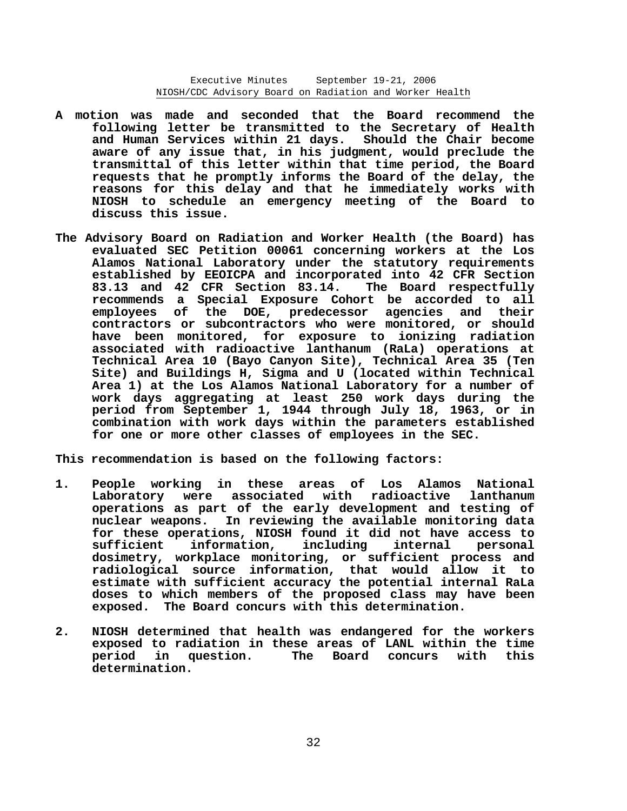- **A motion was made and seconded that the Board recommend the following letter be transmitted to the Secretary of Health and Human Services within 21 days. Should the Chair become aware of any issue that, in his judgment, would preclude the transmittal of this letter within that time period, the Board requests that he promptly informs the Board of the delay, the reasons for this delay and that he immediately works with NIOSH to schedule an emergency meeting of the Board to discuss this issue.**
- **The Advisory Board on Radiation and Worker Health (the Board) has evaluated SEC Petition 00061 concerning workers at the Los Alamos National Laboratory under the statutory requirements established by EEOICPA and incorporated into 42 CFR Section 83.13 and 42 CFR Section 83.14. The Board respectfully recommends a Special Exposure Cohort be accorded to all employees of the DOE, predecessor agencies and their contractors or subcontractors who were monitored, or should have been monitored, for exposure to ionizing radiation associated with radioactive lanthanum (RaLa) operations at Technical Area 10 (Bayo Canyon Site), Technical Area 35 (Ten Site) and Buildings H, Sigma and U (located within Technical Area 1) at the Los Alamos National Laboratory for a number of work days aggregating at least 250 work days during the period from September 1, 1944 through July 18, 1963, or in combination with work days within the parameters established for one or more other classes of employees in the SEC.**

**This recommendation is based on the following factors:** 

- **1. People working in these areas of Los Alamos National Laboratory were associated with radioactive lanthanum operations as part of the early development and testing of nuclear weapons. In reviewing the available monitoring data for these operations, NIOSH found it did not have access to sufficient information, including internal personal dosimetry, workplace monitoring, or sufficient process and radiological source information, that would allow it to estimate with sufficient accuracy the potential internal RaLa doses to which members of the proposed class may have been exposed. The Board concurs with this determination.**
- **2. NIOSH determined that health was endangered for the workers exposed to radiation in these areas of LANL within the time period in question. The Board concurs with this determination.**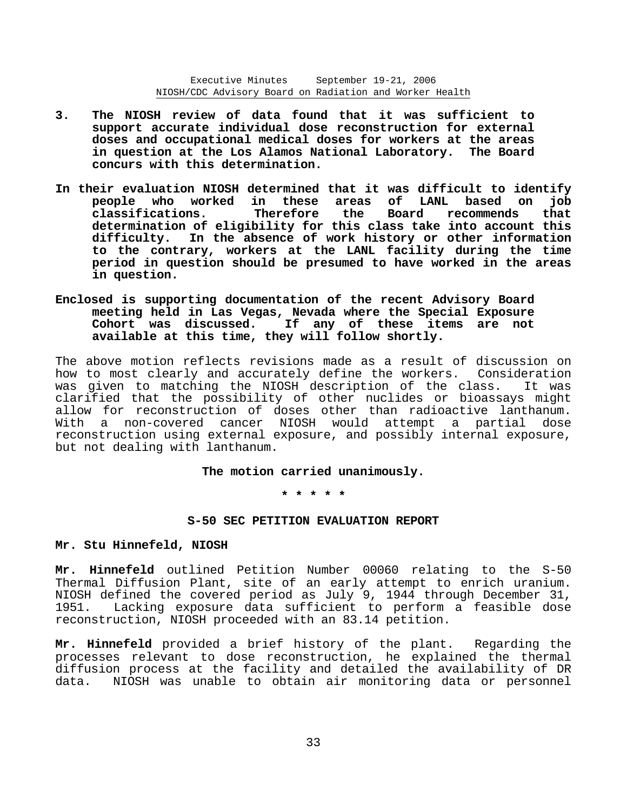- **3. The NIOSH review of data found that it was sufficient to support accurate individual dose reconstruction for external doses and occupational medical doses for workers at the areas in question at the Los Alamos National Laboratory. The Board concurs with this determination.**
- **In their evaluation NIOSH determined that it was difficult to identify people who worked in these areas of LANL based on job classifications. Therefore the Board recommends that determination of eligibility for this class take into account this difficulty. In the absence of work history or other information to the contrary, workers at the LANL facility during the time period in question should be presumed to have worked in the areas in question.**
- **Enclosed is supporting documentation of the recent Advisory Board meeting held in Las Vegas, Nevada where the Special Exposure Cohort was discussed. If any of these items are not available at this time, they will follow shortly.**

The above motion reflects revisions made as a result of discussion on how to most clearly and accurately define the workers. Consideration was given to matching the NIOSH description of the class. It was clarified that the possibility of other nuclides or bioassays might allow for reconstruction of doses other than radioactive lanthanum. With a non-covered cancer NIOSH would attempt a partial dose reconstruction using external exposure, and possibly internal exposure, but not dealing with lanthanum.

**The motion carried unanimously.** 

**\* \* \* \* \*** 

#### **S-50 SEC PETITION EVALUATION REPORT**

# **Mr. Stu Hinnefeld, NIOSH**

**Mr. Hinnefeld** outlined Petition Number 00060 relating to the S-50 Thermal Diffusion Plant, site of an early attempt to enrich uranium. NIOSH defined the covered period as July 9, 1944 through December 31, 1951. Lacking exposure data sufficient to perform a feasible dose reconstruction, NIOSH proceeded with an 83.14 petition.

**Mr. Hinnefeld** provided a brief history of the plant. Regarding the processes relevant to dose reconstruction, he explained the thermal diffusion process at the facility and detailed the availability of DR data. NIOSH was unable to obtain air monitoring data or personnel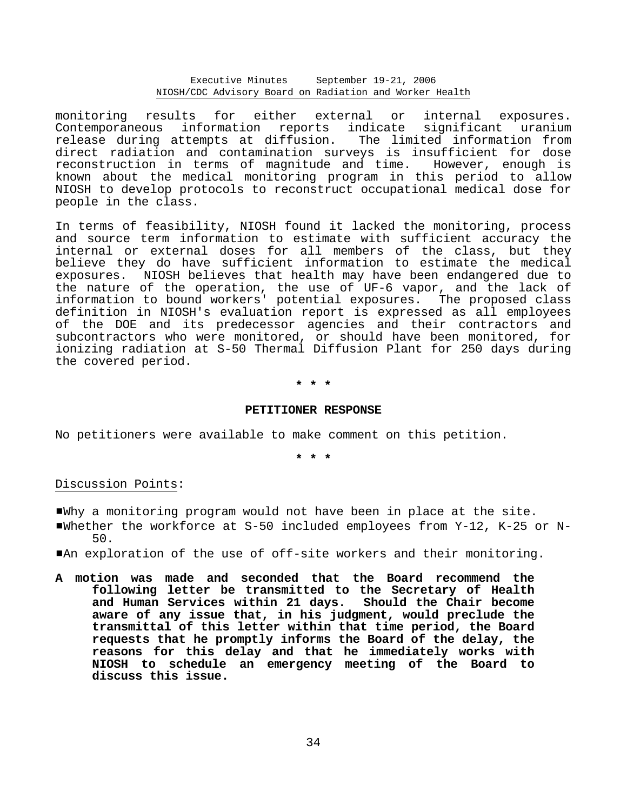monitoring results for either external or internal exposures. Contemporaneous information reports indicate significant uranium release during attempts at diffusion. The limited information from direct radiation and contamination surveys is insufficient for dose reconstruction in terms of magnitude and time. However, enough is known about the medical monitoring program in this period to allow NIOSH to develop protocols to reconstruct occupational medical dose for people in the class.

In terms of feasibility, NIOSH found it lacked the monitoring, process and source term information to estimate with sufficient accuracy the internal or external doses for all members of the class, but they believe they do have sufficient information to estimate the medical exposures. NIOSH believes that health may have been endangered due to the nature of the operation, the use of UF-6 vapor, and the lack of information to bound workers' potential exposures. The proposed class definition in NIOSH's evaluation report is expressed as all employees of the DOE and its predecessor agencies and their contractors and subcontractors who were monitored, or should have been monitored, for ionizing radiation at S-50 Thermal Diffusion Plant for 250 days during the covered period.

# **\* \* \***

### **PETITIONER RESPONSE**

No petitioners were available to make comment on this petition.

**\* \* \*** 

# Discussion Points:

- #Why a monitoring program would not have been in place at the site.
- Whether the workforce at  $S-50$  included employees from Y-12, K-25 or N-50.
- #An exploration of the use of off-site workers and their monitoring.
- **A motion was made and seconded that the Board recommend the following letter be transmitted to the Secretary of Health and Human Services within 21 days. Should the Chair become aware of any issue that, in his judgment, would preclude the transmittal of this letter within that time period, the Board requests that he promptly informs the Board of the delay, the reasons for this delay and that he immediately works with NIOSH to schedule an emergency meeting of the Board to discuss this issue.**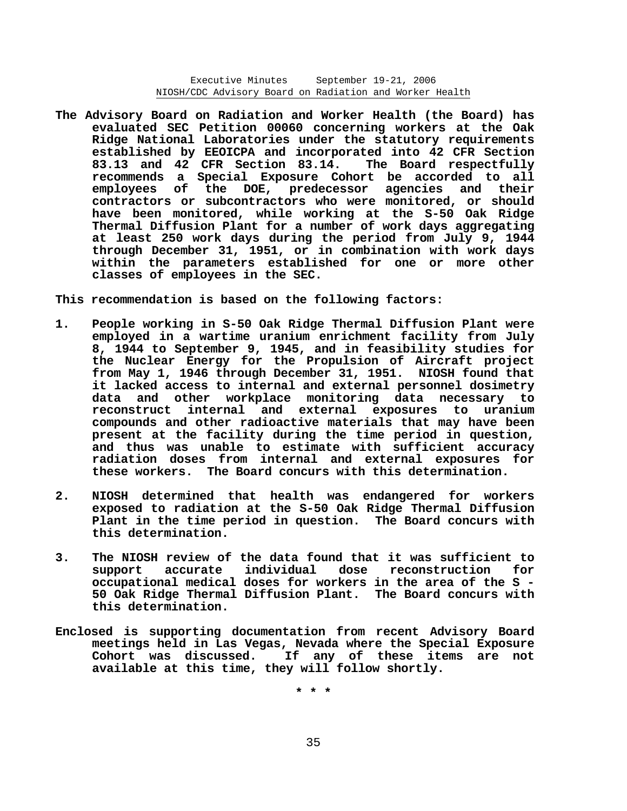**The Advisory Board on Radiation and Worker Health (the Board) has evaluated SEC Petition 00060 concerning workers at the Oak Ridge National Laboratories under the statutory requirements established by EEOICPA and incorporated into 42 CFR Section 83.13 and 42 CFR Section 83.14. The Board respectfully recommends a Special Exposure Cohort be accorded to all employees of the DOE, predecessor agencies and their contractors or subcontractors who were monitored, or should have been monitored, while working at the S-50 Oak Ridge Thermal Diffusion Plant for a number of work days aggregating at least 250 work days during the period from July 9, 1944 through December 31, 1951, or in combination with work days within the parameters established for one or more other classes of employees in the SEC.** 

**This recommendation is based on the following factors:** 

- **1. People working in S-50 Oak Ridge Thermal Diffusion Plant were employed in a wartime uranium enrichment facility from July 8, 1944 to September 9, 1945, and in feasibility studies for the Nuclear Energy for the Propulsion of Aircraft project from May 1, 1946 through December 31, 1951. NIOSH found that it lacked access to internal and external personnel dosimetry data and other workplace monitoring data necessary to reconstruct internal and external exposures to uranium compounds and other radioactive materials that may have been present at the facility during the time period in question, and thus was unable to estimate with sufficient accuracy radiation doses from internal and external exposures for these workers. The Board concurs with this determination.**
- **2. NIOSH determined that health was endangered for workers exposed to radiation at the S-50 Oak Ridge Thermal Diffusion Plant in the time period in question. The Board concurs with this determination.**
- **3. The NIOSH review of the data found that it was sufficient to support accurate individual dose reconstruction for occupational medical doses for workers in the area of the S 50 Oak Ridge Thermal Diffusion Plant. The Board concurs with this determination.**
- **Enclosed is supporting documentation from recent Advisory Board meetings held in Las Vegas, Nevada where the Special Exposure Cohort was discussed. If any of these items are not available at this time, they will follow shortly.**

**\* \* \***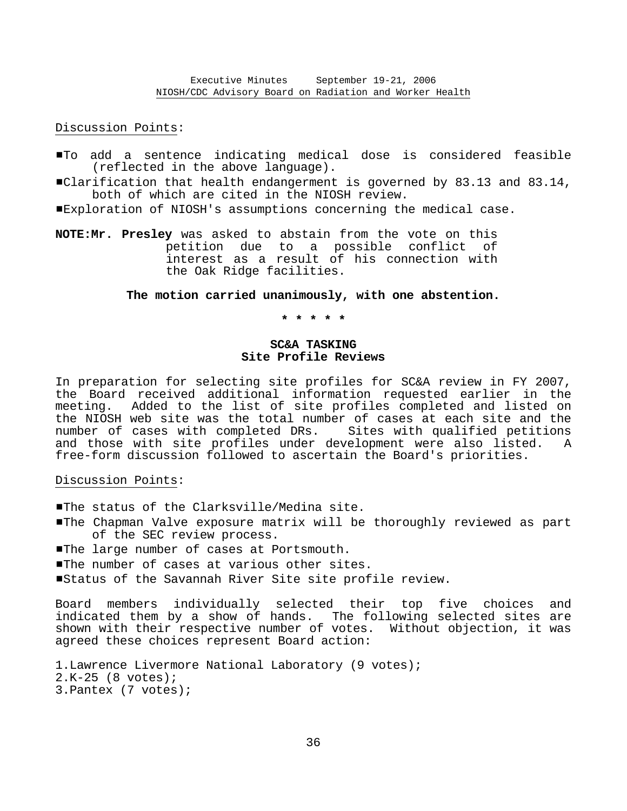Discussion Points:

- #To add a sentence indicating medical dose is considered feasible (reflected in the above language).
- $\blacksquare$ Clarification that health endangerment is governed by 83.13 and 83.14, both of which are cited in the NIOSH review.
- #Exploration of NIOSH's assumptions concerning the medical case.
- **NOTE:Mr. Presley** was asked to abstain from the vote on this petition due to a possible conflict of interest as a result of his connection with the Oak Ridge facilities.

# **The motion carried unanimously, with one abstention.**

**\* \* \* \* \*** 

# **SC&A TASKING Site Profile Reviews**

In preparation for selecting site profiles for SC&A review in FY 2007, the Board received additional information requested earlier in the meeting. Added to the list of site profiles completed and listed on the NIOSH web site was the total number of cases at each site and the number of cases with completed DRs. Sites with qualified petitions and those with site profiles under development were also listed. A free-form discussion followed to ascertain the Board's priorities.

### Discussion Points:

- **The status of the Clarksville/Medina site.**
- #The Chapman Valve exposure matrix will be thoroughly reviewed as part of the SEC review process.
- **The large number of cases at Portsmouth.**
- The number of cases at various other sites.
- #Status of the Savannah River Site site profile review.

Board members individually selected their top five choices and indicated them by a show of hands. The following selected sites are shown with their respective number of votes. Without objection, it was agreed these choices represent Board action:

```
1.Lawrence Livermore National Laboratory (9 votes); 
2.K-25 (8 votes); 
3.Pantex (7 votes);
```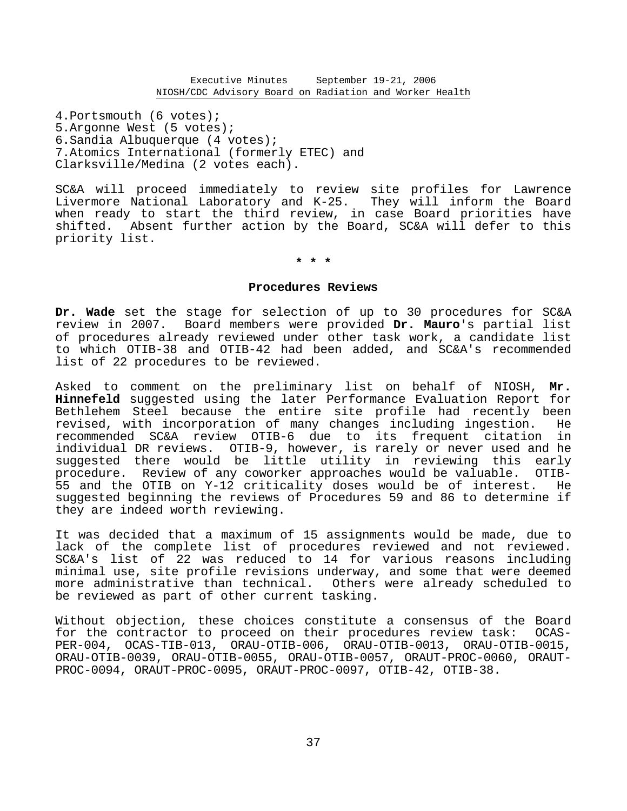4.Portsmouth (6 votes); 5.Argonne West (5 votes); 6.Sandia Albuquerque (4 votes); 7.Atomics International (formerly ETEC) and Clarksville/Medina (2 votes each).

SC&A will proceed immediately to review site profiles for Lawrence Livermore National Laboratory and K-25. They will inform the Board when ready to start the third review, in case Board priorities have shifted. Absent further action by the Board, SC&A will defer to this priority list.

**\* \* \*** 

# **Procedures Reviews**

**Dr. Wade** set the stage for selection of up to 30 procedures for SC&A review in 2007. Board members were provided **Dr. Mauro**'s partial list of procedures already reviewed under other task work, a candidate list to which OTIB-38 and OTIB-42 had been added, and SC&A's recommended list of 22 procedures to be reviewed.

Asked to comment on the preliminary list on behalf of NIOSH, **Mr. Hinnefeld** suggested using the later Performance Evaluation Report for Bethlehem Steel because the entire site profile had recently been revised, with incorporation of many changes including ingestion. He recommended SC&A review OTIB-6 due to its frequent citation in individual DR reviews. OTIB-9, however, is rarely or never used and he suggested there would be little utility in reviewing this early procedure. Review of any coworker approaches would be valuable. OTIB-55 and the OTIB on Y-12 criticality doses would be of interest. He suggested beginning the reviews of Procedures 59 and 86 to determine if they are indeed worth reviewing.

It was decided that a maximum of 15 assignments would be made, due to lack of the complete list of procedures reviewed and not reviewed. SC&A's list of 22 was reduced to 14 for various reasons including minimal use, site profile revisions underway, and some that were deemed more administrative than technical. Others were already scheduled to be reviewed as part of other current tasking.

Without objection, these choices constitute a consensus of the Board for the contractor to proceed on their procedures review task: OCAS-PER-004, OCAS-TIB-013, ORAU-OTIB-006, ORAU-OTIB-0013, ORAU-OTIB-0015, ORAU-OTIB-0039, ORAU-OTIB-0055, ORAU-OTIB-0057, ORAUT-PROC-0060, ORAUT-PROC-0094, ORAUT-PROC-0095, ORAUT-PROC-0097, OTIB-42, OTIB-38.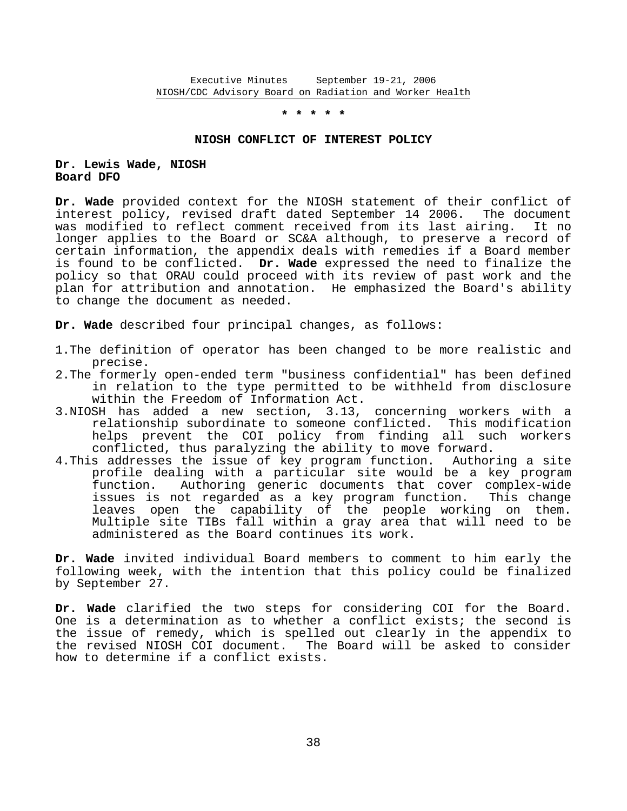**\* \* \* \* \*** 

#### **NIOSH CONFLICT OF INTEREST POLICY**

# **Dr. Lewis Wade, NIOSH Board DFO**

**Dr. Wade** provided context for the NIOSH statement of their conflict of interest policy, revised draft dated September 14 2006. The document was modified to reflect comment received from its last airing. It no longer applies to the Board or SC&A although, to preserve a record of certain information, the appendix deals with remedies if a Board member is found to be conflicted. **Dr. Wade** expressed the need to finalize the policy so that ORAU could proceed with its review of past work and the plan for attribution and annotation. He emphasized the Board's ability to change the document as needed.

**Dr. Wade** described four principal changes, as follows:

- 1.The definition of operator has been changed to be more realistic and precise.
- 2.The formerly open-ended term "business confidential" has been defined in relation to the type permitted to be withheld from disclosure within the Freedom of Information Act.
- 3.NIOSH has added a new section, 3.13, concerning workers with a relationship subordinate to someone conflicted. This modification helps prevent the COI policy from finding all such workers conflicted, thus paralyzing the ability to move forward.
- 4.This addresses the issue of key program function. Authoring a site profile dealing with a particular site would be a key program function. Authoring generic documents that cover complex-wide issues is not regarded as a key program function. This change leaves open the capability of the people working on them. Multiple site TIBs fall within a gray area that will need to be administered as the Board continues its work.

**Dr. Wade** invited individual Board members to comment to him early the following week, with the intention that this policy could be finalized by September 27.

**Dr. Wade** clarified the two steps for considering COI for the Board. One is a determination as to whether a conflict exists; the second is the issue of remedy, which is spelled out clearly in the appendix to the revised NIOSH COI document. The Board will be asked to consider how to determine if a conflict exists.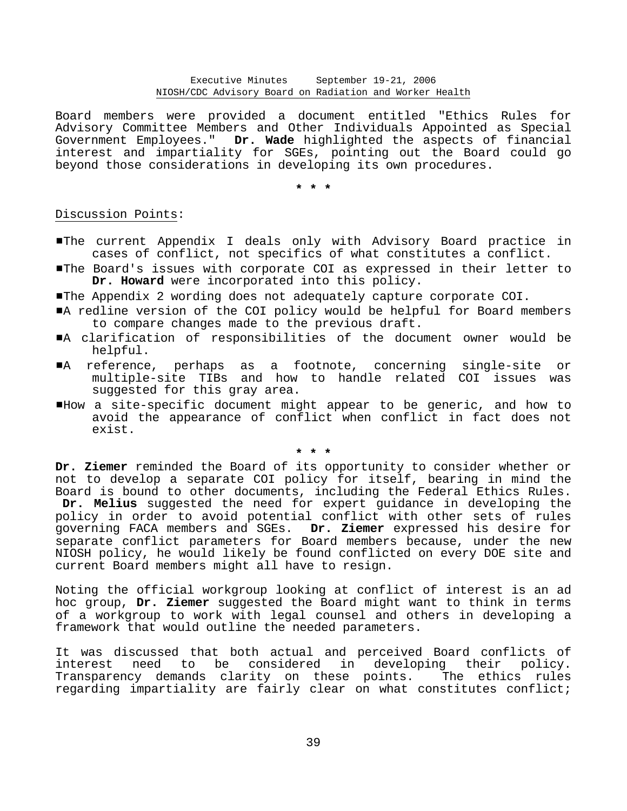Board members were provided a document entitled "Ethics Rules for Advisory Committee Members and Other Individuals Appointed as Special Government Employees." **Dr. Wade** highlighted the aspects of financial interest and impartiality for SGEs, pointing out the Board could go beyond those considerations in developing its own procedures.

**\* \* \*** 

# Discussion Points:

- #The current Appendix I deals only with Advisory Board practice in cases of conflict, not specifics of what constitutes a conflict.
- #The Board's issues with corporate COI as expressed in their letter to **Dr. Howard** were incorporated into this policy.
- #The Appendix 2 wording does not adequately capture corporate COI.
- A redline version of the COI policy would be helpful for Board members to compare changes made to the previous draft.
- #A clarification of responsibilities of the document owner would be helpful.
- #A reference, perhaps as a footnote, concerning single-site or multiple-site TIBs and how to handle related COI issues was suggested for this gray area.
- #How a site-specific document might appear to be generic, and how to avoid the appearance of conflict when conflict in fact does not exist.

**\* \* \*** 

**Dr. Ziemer** reminded the Board of its opportunity to consider whether or not to develop a separate COI policy for itself, bearing in mind the Board is bound to other documents, including the Federal Ethics Rules. **Dr. Melius** suggested the need for expert guidance in developing the policy in order to avoid potential conflict with other sets of rules governing FACA members and SGEs. **Dr. Ziemer** expressed his desire for separate conflict parameters for Board members because, under the new NIOSH policy, he would likely be found conflicted on every DOE site and current Board members might all have to resign.

Noting the official workgroup looking at conflict of interest is an ad hoc group, **Dr. Ziemer** suggested the Board might want to think in terms of a workgroup to work with legal counsel and others in developing a framework that would outline the needed parameters.

It was discussed that both actual and perceived Board conflicts of interest need to be considered in developing their policy. Transparency demands clarity on these points. The ethics rules regarding impartiality are fairly clear on what constitutes conflict;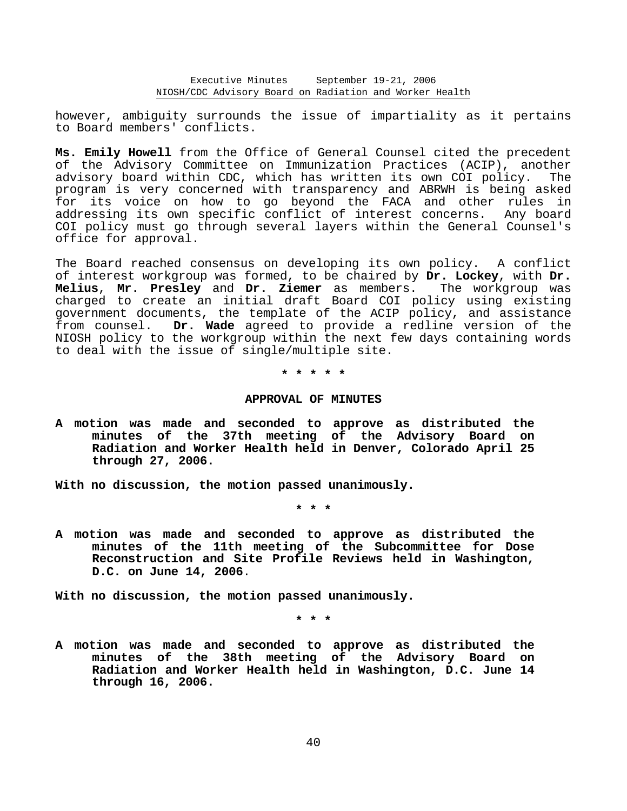however, ambiguity surrounds the issue of impartiality as it pertains to Board members' conflicts.

**Ms. Emily Howell** from the Office of General Counsel cited the precedent of the Advisory Committee on Immunization Practices (ACIP), another advisory board within CDC, which has written its own COI policy. The program is very concerned with transparency and ABRWH is being asked for its voice on how to go beyond the FACA and other rules in addressing its own specific conflict of interest concerns. Any board COI policy must go through several layers within the General Counsel's office for approval.

The Board reached consensus on developing its own policy. A conflict of interest workgroup was formed, to be chaired by **Dr. Lockey**, with **Dr. Melius**, **Mr. Presley** and **Dr. Ziemer** as members. The workgroup was charged to create an initial draft Board COI policy using existing government documents, the template of the ACIP policy, and assistance from counsel. **Dr. Wade** agreed to provide a redline version of the NIOSH policy to the workgroup within the next few days containing words to deal with the issue of single/multiple site.

**\* \* \* \* \*** 

### **APPROVAL OF MINUTES**

**A motion was made and seconded to approve as distributed the minutes of the 37th meeting of the Advisory Board on Radiation and Worker Health held in Denver, Colorado April 25 through 27, 2006.** 

**With no discussion, the motion passed unanimously.** 

**\* \* \*** 

**A motion was made and seconded to approve as distributed the minutes of the 11th meeting of the Subcommittee for Dose Reconstruction and Site Profile Reviews held in Washington, D.C. on June 14, 2006**.

**With no discussion, the motion passed unanimously.** 

**\* \* \*** 

**A motion was made and seconded to approve as distributed the minutes of the 38th meeting of the Advisory Board on Radiation and Worker Health held in Washington, D.C. June 14 through 16, 2006.**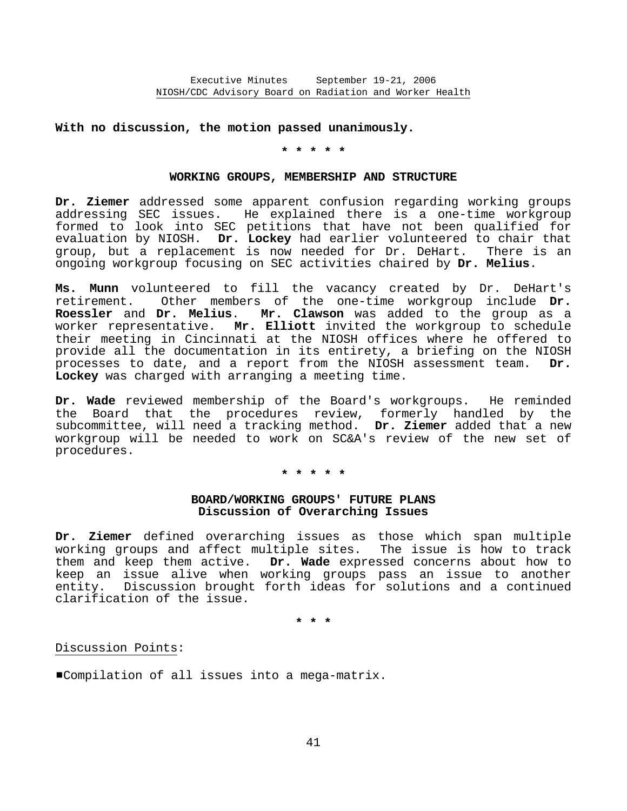# **With no discussion, the motion passed unanimously.**

**\* \* \* \* \*** 

### **WORKING GROUPS, MEMBERSHIP AND STRUCTURE**

**Dr. Ziemer** addressed some apparent confusion regarding working groups addressing SEC issues. He explained there is a one-time workgroup formed to look into SEC petitions that have not been qualified for evaluation by NIOSH. **Dr. Lockey** had earlier volunteered to chair that group, but a replacement is now needed for Dr. DeHart. There is an ongoing workgroup focusing on SEC activities chaired by **Dr. Melius**.

**Ms. Munn** volunteered to fill the vacancy created by Dr. DeHart's retirement. Other members of the one-time workgroup include **Dr. Roessler** and **Dr. Melius**. **Mr. Clawson** was added to the group as a worker representative. **Mr. Elliott** invited the workgroup to schedule their meeting in Cincinnati at the NIOSH offices where he offered to provide all the documentation in its entirety, a briefing on the NIOSH processes to date, and a report from the NIOSH assessment team. **Dr. Lockey** was charged with arranging a meeting time.

**Dr. Wade** reviewed membership of the Board's workgroups. He reminded the Board that the procedures review, formerly handled by the subcommittee, will need a tracking method. **Dr. Ziemer** added that a new workgroup will be needed to work on SC&A's review of the new set of procedures.

# **\* \* \* \* \***

# **BOARD/WORKING GROUPS' FUTURE PLANS Discussion of Overarching Issues**

**Dr. Ziemer** defined overarching issues as those which span multiple working groups and affect multiple sites. The issue is how to track them and keep them active. **Dr. Wade** expressed concerns about how to keep an issue alive when working groups pass an issue to another entity. Discussion brought forth ideas for solutions and a continued clarification of the issue.

**\* \* \*** 

# Discussion Points:

#Compilation of all issues into a mega-matrix.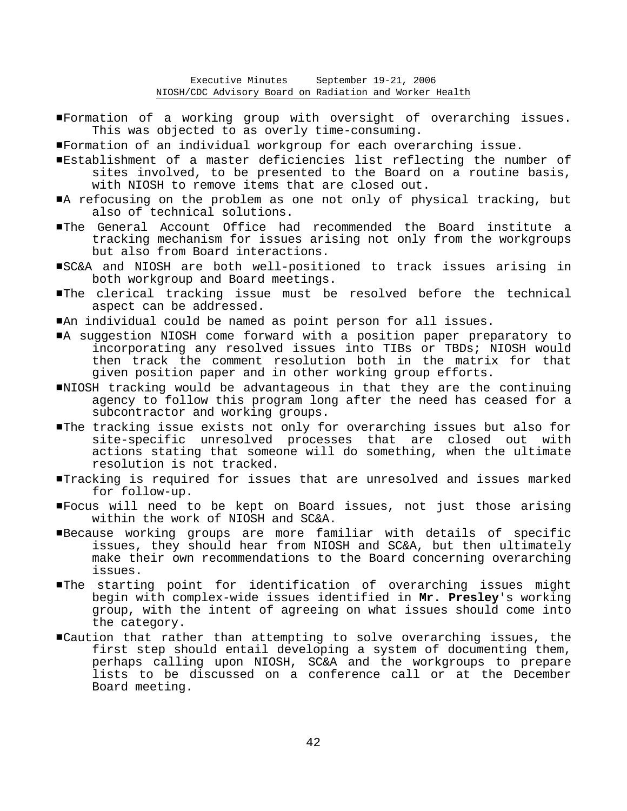- #Formation of a working group with oversight of overarching issues. This was objected to as overly time-consuming.
- #Formation of an individual workgroup for each overarching issue.
- #Establishment of a master deficiencies list reflecting the number of sites involved, to be presented to the Board on a routine basis, with NIOSH to remove items that are closed out.
- A refocusing on the problem as one not only of physical tracking, but also of technical solutions.
- #The General Account Office had recommended the Board institute a tracking mechanism for issues arising not only from the workgroups but also from Board interactions.
- #SC&A and NIOSH are both well-positioned to track issues arising in both workgroup and Board meetings.
- #The clerical tracking issue must be resolved before the technical aspect can be addressed.
- #An individual could be named as point person for all issues.
- #A suggestion NIOSH come forward with a position paper preparatory to incorporating any resolved issues into TIBs or TBDs; NIOSH would then track the comment resolution both in the matrix for that given position paper and in other working group efforts.
- #NIOSH tracking would be advantageous in that they are the continuing agency to follow this program long after the need has ceased for a subcontractor and working groups.
- #The tracking issue exists not only for overarching issues but also for site-specific unresolved processes that are closed out with actions stating that someone will do something, when the ultimate resolution is not tracked.
- #Tracking is required for issues that are unresolved and issues marked for follow-up.
- #Focus will need to be kept on Board issues, not just those arising within the work of NIOSH and SC&A.
- #Because working groups are more familiar with details of specific issues, they should hear from NIOSH and SC&A, but then ultimately make their own recommendations to the Board concerning overarching issues.
- #The starting point for identification of overarching issues might begin with complex-wide issues identified in **Mr. Presley**'s working group, with the intent of agreeing on what issues should come into the category.
- #Caution that rather than attempting to solve overarching issues, the first step should entail developing a system of documenting them, perhaps calling upon NIOSH, SC&A and the workgroups to prepare lists to be discussed on a conference call or at the December Board meeting.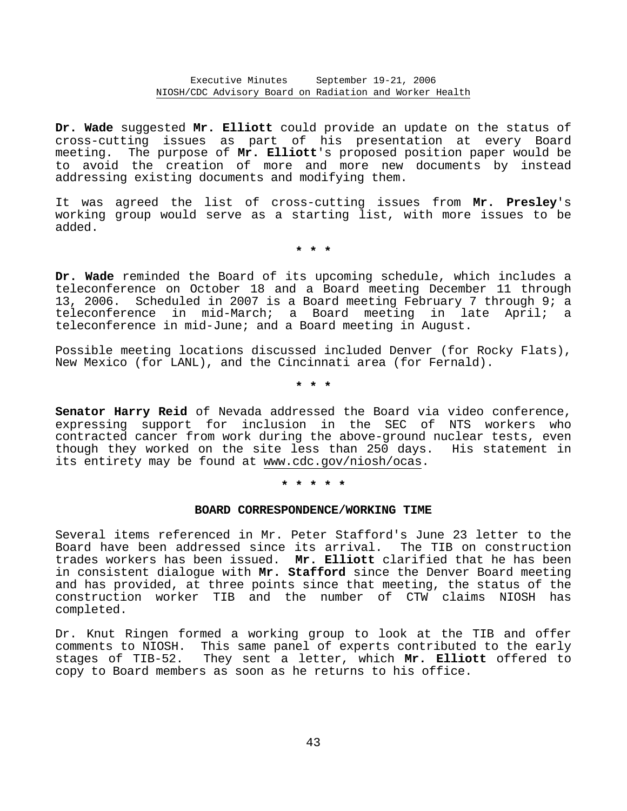**Dr. Wade** suggested **Mr. Elliott** could provide an update on the status of cross-cutting issues as part of his presentation at every Board meeting. The purpose of **Mr. Elliott**'s proposed position paper would be to avoid the creation of more and more new documents by instead addressing existing documents and modifying them.

It was agreed the list of cross-cutting issues from **Mr. Presley**'s working group would serve as a starting list, with more issues to be added.

**\* \* \*** 

**Dr. Wade** reminded the Board of its upcoming schedule, which includes a teleconference on October 18 and a Board meeting December 11 through 13, 2006. Scheduled in 2007 is a Board meeting February 7 through 9; a teleconference in mid-March; a Board meeting in late April; a teleconference in mid-June; and a Board meeting in August.

Possible meeting locations discussed included Denver (for Rocky Flats), New Mexico (for LANL), and the Cincinnati area (for Fernald).

**\* \* \*** 

**Senator Harry Reid** of Nevada addressed the Board via video conference, expressing support for inclusion in the SEC of NTS workers who contracted cancer from work during the above-ground nuclear tests, even though they worked on the site less than 250 days. His statement in its entirety may be found at www.cdc.gov/niosh/ocas.

**\* \* \* \* \*** 

# **BOARD CORRESPONDENCE/WORKING TIME**

Several items referenced in Mr. Peter Stafford's June 23 letter to the Board have been addressed since its arrival. The TIB on construction trades workers has been issued. **Mr. Elliott** clarified that he has been in consistent dialogue with **Mr. Stafford** since the Denver Board meeting and has provided, at three points since that meeting, the status of the construction worker TIB and the number of CTW claims NIOSH has completed.

Dr. Knut Ringen formed a working group to look at the TIB and offer comments to NIOSH. This same panel of experts contributed to the early stages of TIB-52. They sent a letter, which **Mr. Elliott** offered to copy to Board members as soon as he returns to his office.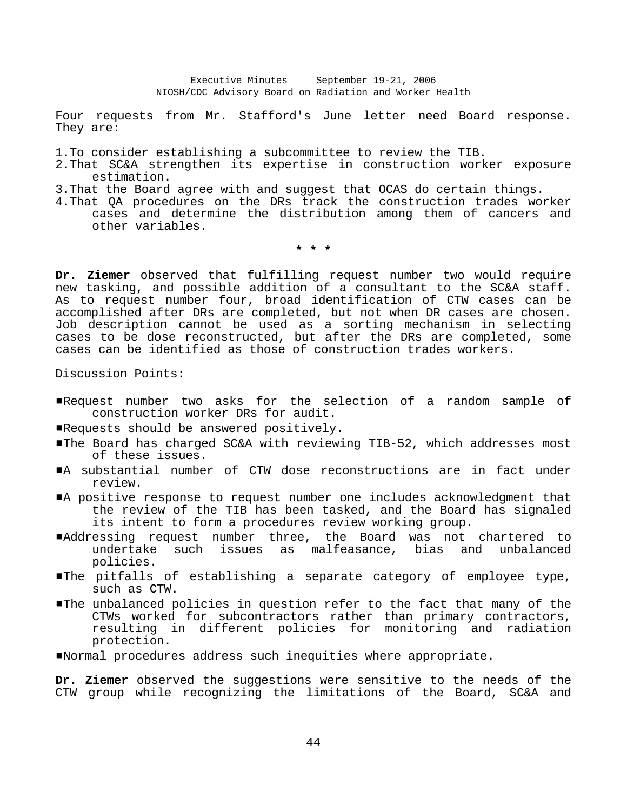Four requests from Mr. Stafford's June letter need Board response. They are:

1.To consider establishing a subcommittee to review the TIB.

- 2.That SC&A strengthen its expertise in construction worker exposure estimation.
- 3.That the Board agree with and suggest that OCAS do certain things.
- 4.That QA procedures on the DRs track the construction trades worker cases and determine the distribution among them of cancers and other variables.

**\* \* \*** 

**Dr. Ziemer** observed that fulfilling request number two would require new tasking, and possible addition of a consultant to the SC&A staff. As to request number four, broad identification of CTW cases can be accomplished after DRs are completed, but not when DR cases are chosen. Job description cannot be used as a sorting mechanism in selecting cases to be dose reconstructed, but after the DRs are completed, some cases can be identified as those of construction trades workers.

Discussion Points:

- #Request number two asks for the selection of a random sample of construction worker DRs for audit.
- Requests should be answered positively.
- #The Board has charged SC&A with reviewing TIB-52, which addresses most of these issues.
- #A substantial number of CTW dose reconstructions are in fact under review.
- A positive response to request number one includes acknowledgment that the review of the TIB has been tasked, and the Board has signaled its intent to form a procedures review working group.
- #Addressing request number three, the Board was not chartered to undertake such issues as malfeasance, bias and unbalanced policies.
- #The pitfalls of establishing a separate category of employee type, such as CTW.
- #The unbalanced policies in question refer to the fact that many of the CTWs worked for subcontractors rather than primary contractors, resulting in different policies for monitoring and radiation protection.

#Normal procedures address such inequities where appropriate.

**Dr. Ziemer** observed the suggestions were sensitive to the needs of the CTW group while recognizing the limitations of the Board, SC&A and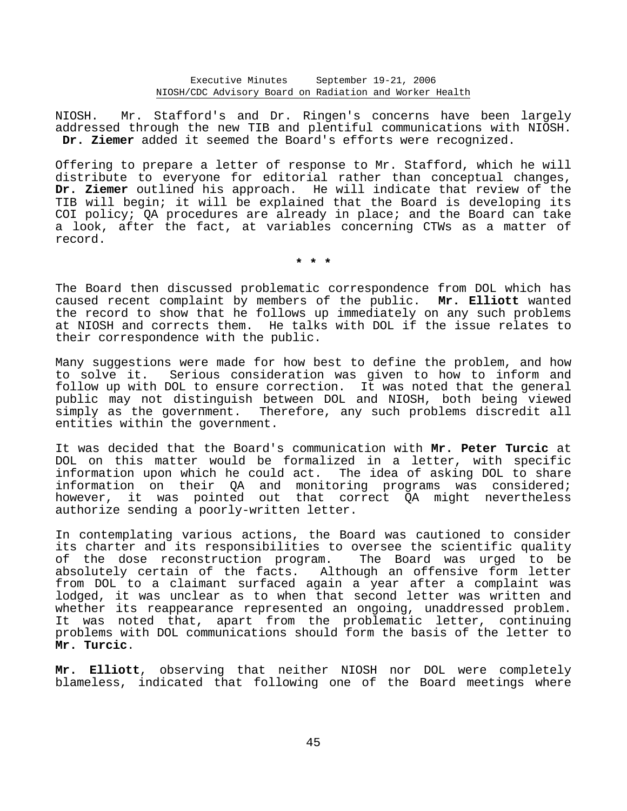NIOSH. Mr. Stafford's and Dr. Ringen's concerns have been largely addressed through the new TIB and plentiful communications with NIOSH. **Dr. Ziemer** added it seemed the Board's efforts were recognized.

Offering to prepare a letter of response to Mr. Stafford, which he will distribute to everyone for editorial rather than conceptual changes, **Dr. Ziemer** outlined his approach. He will indicate that review of the TIB will begin; it will be explained that the Board is developing its COI policy; QA procedures are already in place; and the Board can take a look, after the fact, at variables concerning CTWs as a matter of record.

**\* \* \*** 

The Board then discussed problematic correspondence from DOL which has caused recent complaint by members of the public. **Mr. Elliott** wanted the record to show that he follows up immediately on any such problems at NIOSH and corrects them. He talks with DOL if the issue relates to their correspondence with the public.

Many suggestions were made for how best to define the problem, and how to solve it. Serious consideration was given to how to inform and follow up with DOL to ensure correction. It was noted that the general public may not distinguish between DOL and NIOSH, both being viewed simply as the government. Therefore, any such problems discredit all entities within the government.

It was decided that the Board's communication with **Mr. Peter Turcic** at DOL on this matter would be formalized in a letter, with specific information upon which he could act. The idea of asking DOL to share information on their QA and monitoring programs was considered; however, it was pointed out that correct QA might nevertheless authorize sending a poorly-written letter.

In contemplating various actions, the Board was cautioned to consider its charter and its responsibilities to oversee the scientific quality of the dose reconstruction program. The Board was urged to be absolutely certain of the facts. Although an offensive form letter from DOL to a claimant surfaced again a year after a complaint was lodged, it was unclear as to when that second letter was written and whether its reappearance represented an ongoing, unaddressed problem. It was noted that, apart from the problematic letter, continuing problems with DOL communications should form the basis of the letter to **Mr. Turcic**.

**Mr. Elliott**, observing that neither NIOSH nor DOL were completely blameless, indicated that following one of the Board meetings where